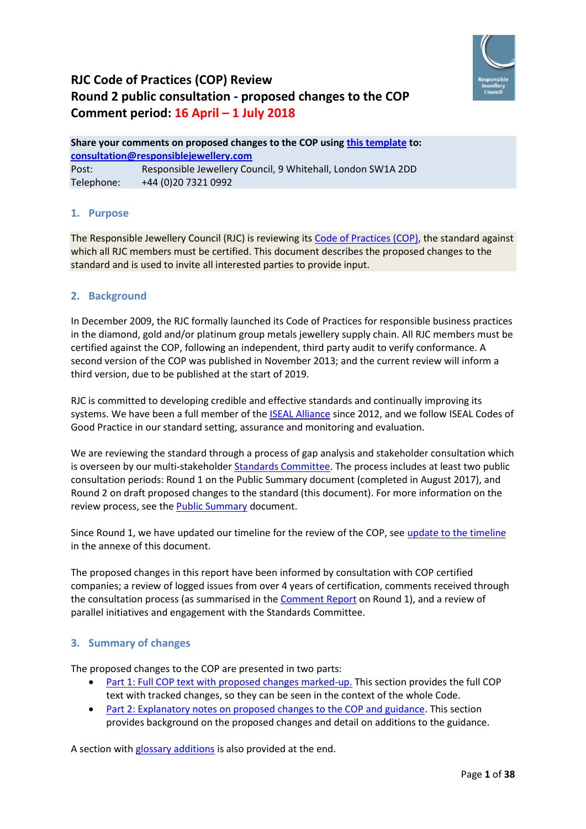

# **RJC Code of Practices (COP) Review Round 2 public consultation - proposed changes to the COP Comment period: 16 April – 1 July 2018**

**Share your comments on proposed changes to the COP using [this template](https://www.responsiblejewellery.com/files/RJC-COP-Review-Comment-Form.docx) to: [consultation@responsiblejewellery.com](mailto:consultation@responsiblejewellery.com)** Post: Responsible Jewellery Council, 9 Whitehall, London SW1A 2DD Telephone: +44 (0)20 7321 0992

### **1. Purpose**

The Responsible Jewellery Council (RJC) is reviewing its [Code of Practices \(COP\),](http://www.responsiblejewellery.com/files/RJC_Code_of_Practices_2013_eng.pdf?dl=0) the standard against which all RJC members must be certified. This document describes the proposed changes to the standard and is used to invite all interested parties to provide input.

#### **2. Background**

In December 2009, the RJC formally launched its Code of Practices for responsible business practices in the diamond, gold and/or platinum group metals jewellery supply chain. All RJC members must be certified against the COP, following an independent, third party audit to verify conformance. A second version of the COP was published in November 2013; and the current review will inform a third version, due to be published at the start of 2019.

RJC is committed to developing credible and effective standards and continually improving its systems. We have been a full member of the [ISEAL Alliance](http://www.isealalliance.org/about-us) since 2012, and we follow ISEAL Codes of Good Practice in our standard setting, assurance and monitoring and evaluation.

We are reviewing the standard through a process of gap analysis and stakeholder consultation which is overseen by our multi-stakeholder [Standards Committee.](http://www.responsiblejewellery.com/rjc-standards-committee/) The process includes at least two public consultation periods: Round 1 on the Public Summary document (completed in August 2017), and Round 2 on draft proposed changes to the standard (this document). For more information on the review process, see the [Public Summary](https://www.responsiblejewellery.com/files/Public-Summary-for-RJC-COP-Review-1.pdf) document.

Since Round 1, we have updated our timeline for the review of the COP, see [update to the timeline](#page-37-0) in the annexe of this document.

The proposed changes in this report have been informed by consultation with COP certified companies; a review of logged issues from over 4 years of certification, comments received through the consultation process (as summarised in the [Comment Report](https://www.responsiblejewellery.com/files/Comment-report-on-round-1-consultation-RJC-COP-Review_Final.pdf) on Round 1), and a review of parallel initiatives and engagement with the Standards Committee.

#### **3. Summary of changes**

The proposed changes to the COP are presented in two parts:

- [Part 1: Full COP text with proposed changes marked-up.](#page-3-0) This section provides the full COP text with tracked changes, so they can be seen in the context of the whole Code.
- [Part 2: Explanatory notes on proposed changes to the COP and guidance.](#page-20-0) This section provides background on the proposed changes and detail on additions to the guidance.

A section with [glossary additions](#page-35-0) is also provided at the end.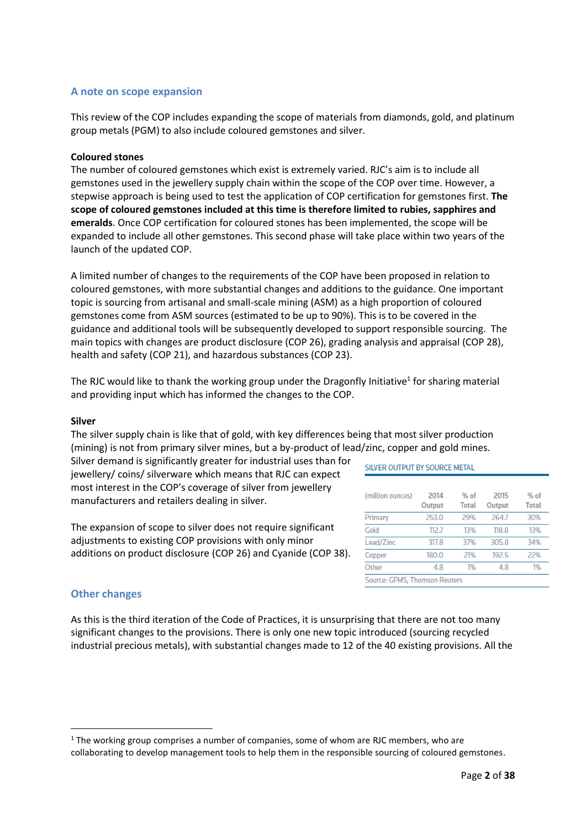#### **A note on scope expansion**

This review of the COP includes expanding the scope of materials from diamonds, gold, and platinum group metals (PGM) to also include coloured gemstones and silver.

#### **Coloured stones**

The number of coloured gemstones which exist is extremely varied. RJC's aim is to include all gemstones used in the jewellery supply chain within the scope of the COP over time. However, a stepwise approach is being used to test the application of COP certification for gemstones first. **The scope of coloured gemstones included at this time is therefore limited to rubies, sapphires and emeralds**. Once COP certification for coloured stones has been implemented, the scope will be expanded to include all other gemstones. This second phase will take place within two years of the launch of the updated COP.

A limited number of changes to the requirements of the COP have been proposed in relation to coloured gemstones, with more substantial changes and additions to the guidance. One important topic is sourcing from artisanal and small-scale mining (ASM) as a high proportion of coloured gemstones come from ASM sources (estimated to be up to 90%). This is to be covered in the guidance and additional tools will be subsequently developed to support responsible sourcing. The main topics with changes are product disclosure (COP 26), grading analysis and appraisal (COP 28), health and safety (COP 21), and hazardous substances (COP 23).

The RJC would like to thank the working group under the Dragonfly Initiative<sup>1</sup> for sharing material and providing input which has informed the changes to the COP.

#### **Silver**

The silver supply chain is like that of gold, with key differences being that most silver production (mining) is not from primary silver mines, but a by-product of lead/zinc, copper and gold mines.

Silver demand is significantly greater for industrial uses than for jewellery/ coins/ silverware which means that RJC can expect most interest in the COP's coverage of silver from jewellery manufacturers and retailers dealing in silver.

The expansion of scope to silver does not require significant adjustments to existing COP provisions with only minor additions on product disclosure (COP 26) and Cyanide (COP 38).

#### SILVER OUTPUT BY SOURCE METAL

| (million ounces)              | 2014<br>Output | $%$ of<br><b>Total</b> | 2015<br>Output | $%$ of<br><b>Total</b> |
|-------------------------------|----------------|------------------------|----------------|------------------------|
| Primary                       | 253.0          | 29%                    | 264.7          | 30%                    |
| Gold                          | 112.7          | 13%                    | 118.8          | 13%                    |
| Lead/Zinc                     | 317.8          | 37%                    | 305.8          | 34%                    |
| Copper                        | 180.0          | 21%                    | 192.5          | 22%                    |
| Other                         | 4.8            | 1%                     | 4.8            | 1%                     |
| Source: GFMS, Thomson Reuters |                |                        |                |                        |

#### **Other changes**

1

As this is the third iteration of the Code of Practices, it is unsurprising that there are not too many significant changes to the provisions. There is only one new topic introduced (sourcing recycled industrial precious metals), with substantial changes made to 12 of the 40 existing provisions. All the

 $1$  The working group comprises a number of companies, some of whom are RJC members, who are collaborating to develop management tools to help them in the responsible sourcing of coloured gemstones.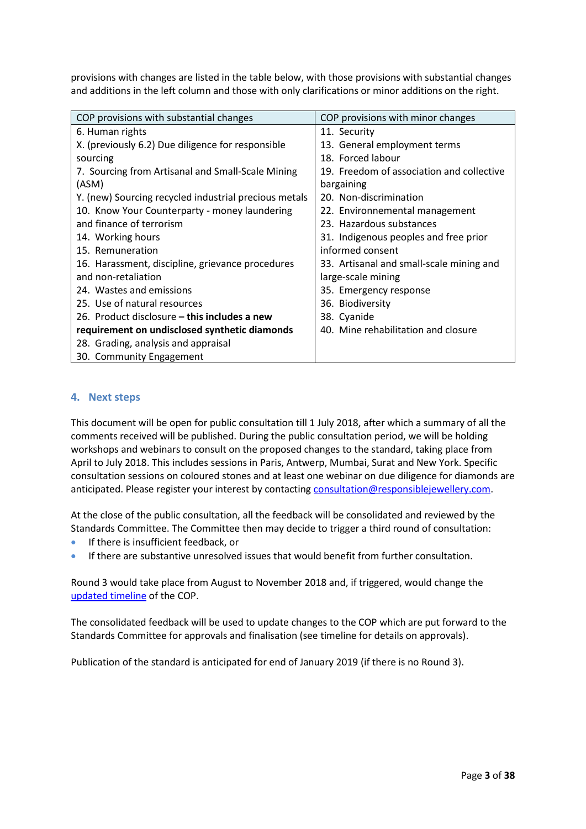provisions with changes are listed in the table below, with those provisions with substantial changes and additions in the left column and those with only clarifications or minor additions on the right.

| COP provisions with substantial changes               | COP provisions with minor changes         |
|-------------------------------------------------------|-------------------------------------------|
| 6. Human rights                                       | 11. Security                              |
| X. (previously 6.2) Due diligence for responsible     | 13. General employment terms              |
| sourcing                                              | 18. Forced labour                         |
| 7. Sourcing from Artisanal and Small-Scale Mining     | 19. Freedom of association and collective |
| (ASM)                                                 | bargaining                                |
| Y. (new) Sourcing recycled industrial precious metals | 20. Non-discrimination                    |
| 10. Know Your Counterparty - money laundering         | 22. Environnemental management            |
| and finance of terrorism                              | 23. Hazardous substances                  |
| 14. Working hours                                     | 31. Indigenous peoples and free prior     |
| 15. Remuneration                                      | informed consent                          |
| 16. Harassment, discipline, grievance procedures      | 33. Artisanal and small-scale mining and  |
| and non-retaliation                                   | large-scale mining                        |
| 24. Wastes and emissions                              | 35. Emergency response                    |
| 25. Use of natural resources                          | 36. Biodiversity                          |
| 26. Product disclosure – this includes a new          | 38. Cyanide                               |
| requirement on undisclosed synthetic diamonds         | 40. Mine rehabilitation and closure       |
| 28. Grading, analysis and appraisal                   |                                           |
| 30. Community Engagement                              |                                           |

#### **4. Next steps**

This document will be open for public consultation till 1 July 2018, after which a summary of all the comments received will be published. During the public consultation period, we will be holding workshops and webinars to consult on the proposed changes to the standard, taking place from April to July 2018. This includes sessions in Paris, Antwerp, Mumbai, Surat and New York. Specific consultation sessions on coloured stones and at least one webinar on due diligence for diamonds are anticipated. Please register your interest by contactin[g consultation@responsiblejewellery.com.](mailto:consultation@responsiblejewellery.com)

At the close of the public consultation, all the feedback will be consolidated and reviewed by the Standards Committee. The Committee then may decide to trigger a third round of consultation:

- If there is insufficient feedback, or
- If there are substantive unresolved issues that would benefit from further consultation.

Round 3 would take place from August to November 2018 and, if triggered, would change the [updated](#page-37-0) timeline of the COP.

The consolidated feedback will be used to update changes to the COP which are put forward to the Standards Committee for approvals and finalisation (see timeline for details on approvals).

Publication of the standard is anticipated for end of January 2019 (if there is no Round 3).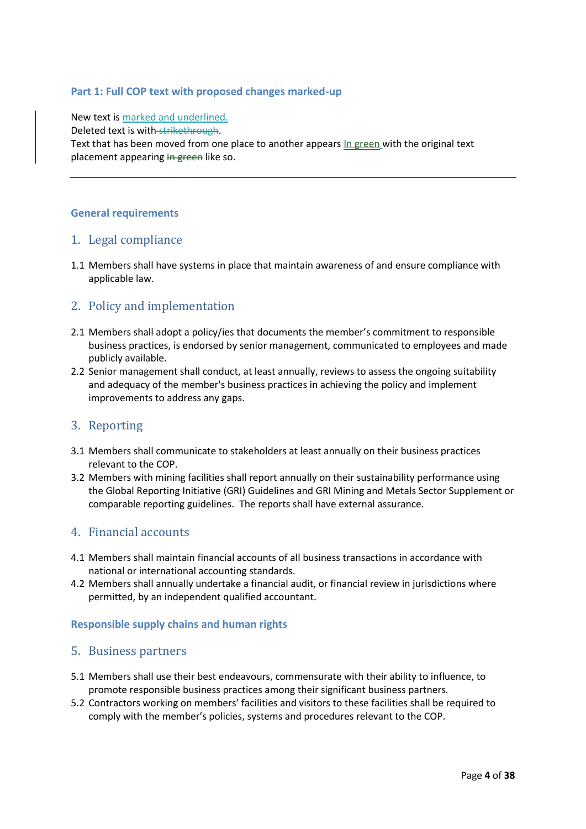#### <span id="page-3-0"></span>**Part 1: Full COP text with proposed changes marked-up**

New text is marked and underlined. Deleted text is with strikethrough. Text that has been moved from one place to another appears In green with the original text placement appearing  $\frac{1}{2}$  are like so.

#### **General requirements**

### 1. Legal compliance

1.1 Members shall have systems in place that maintain awareness of and ensure compliance with applicable law.

# 2. Policy and implementation

- 2.1 Members shall adopt a policy/ies that documents the member's commitment to responsible business practices, is endorsed by senior management, communicated to employees and made publicly available.
- 2.2 Senior management shall conduct, at least annually, reviews to assess the ongoing suitability and adequacy of the member's business practices in achieving the policy and implement improvements to address any gaps.

#### 3. Reporting

- 3.1 Members shall communicate to stakeholders at least annually on their business practices relevant to the COP.
- 3.2 Members with mining facilities shall report annually on their sustainability performance using the Global Reporting Initiative (GRI) Guidelines and GRI Mining and Metals Sector Supplement or comparable reporting guidelines. The reports shall have external assurance.

### 4. Financial accounts

- 4.1 Members shall maintain financial accounts of all business transactions in accordance with national or international accounting standards.
- 4.2 Members shall annually undertake a financial audit, or financial review in jurisdictions where permitted, by an independent qualified accountant.

#### **Responsible supply chains and human rights**

#### 5. Business partners

- 5.1 Members shall use their best endeavours, commensurate with their ability to influence, to promote responsible business practices among their significant business partners.
- 5.2 Contractors working on members' facilities and visitors to these facilities shall be required to comply with the member's policies, systems and procedures relevant to the COP.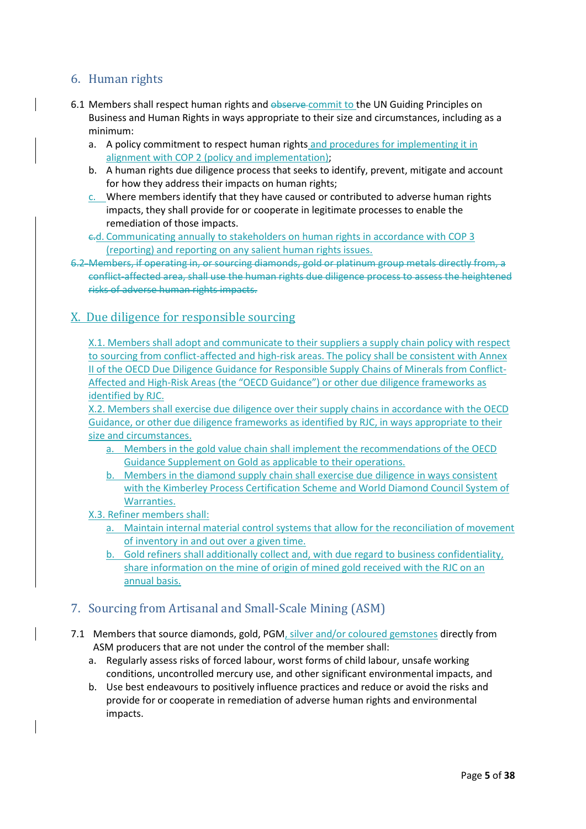# 6. Human rights

- 6.1 Members shall respect human rights and observe commit to the UN Guiding Principles on Business and Human Rights in ways appropriate to their size and circumstances, including as a minimum:
	- a. A policy commitment to respect human rights and procedures for implementing it in alignment with COP 2 (policy and implementation);
	- b. A human rights due diligence process that seeks to identify, prevent, mitigate and account for how they address their impacts on human rights;
	- c. Where members identify that they have caused or contributed to adverse human rights impacts, they shall provide for or cooperate in legitimate processes to enable the remediation of those impacts.
	- c.d. Communicating annually to stakeholders on human rights in accordance with COP 3 (reporting) and reporting on any salient human rights issues.
- 6.2 Members, if operating in, or sourcing diamonds, gold or platinum group metals directly from, a conflict-affected area, shall use the human rights due diligence process to assess the heightened risks of adverse human rights impacts.

### X. Due diligence for responsible sourcing

X.1. Members shall adopt and communicate to their suppliers a supply chain policy with respect to sourcing from conflict-affected and high-risk areas. The policy shall be consistent with Annex II of the OECD Due Diligence Guidance for Responsible Supply Chains of Minerals from Conflict-Affected and High-Risk Areas (the "OECD Guidance") or other due diligence frameworks as identified by RJC.

X.2. Members shall exercise due diligence over their supply chains in accordance with the OECD Guidance, or other due diligence frameworks as identified by RJC, in ways appropriate to their size and circumstances.

- a. Members in the gold value chain shall implement the recommendations of the OECD Guidance Supplement on Gold as applicable to their operations.
- b. Members in the diamond supply chain shall exercise due diligence in ways consistent with the Kimberley Process Certification Scheme and World Diamond Council System of Warranties.
- X.3. Refiner members shall:
	- a. Maintain internal material control systems that allow for the reconciliation of movement of inventory in and out over a given time.
	- b. Gold refiners shall additionally collect and, with due regard to business confidentiality, share information on the mine of origin of mined gold received with the RJC on an annual basis.

# 7. Sourcing from Artisanal and Small-Scale Mining (ASM)

- 7.1 Members that source diamonds, gold, PGM, silver and/or coloured gemstones directly from ASM producers that are not under the control of the member shall:
	- a. Regularly assess risks of forced labour, worst forms of child labour, unsafe working conditions, uncontrolled mercury use, and other significant environmental impacts, and
	- b. Use best endeavours to positively influence practices and reduce or avoid the risks and provide for or cooperate in remediation of adverse human rights and environmental impacts.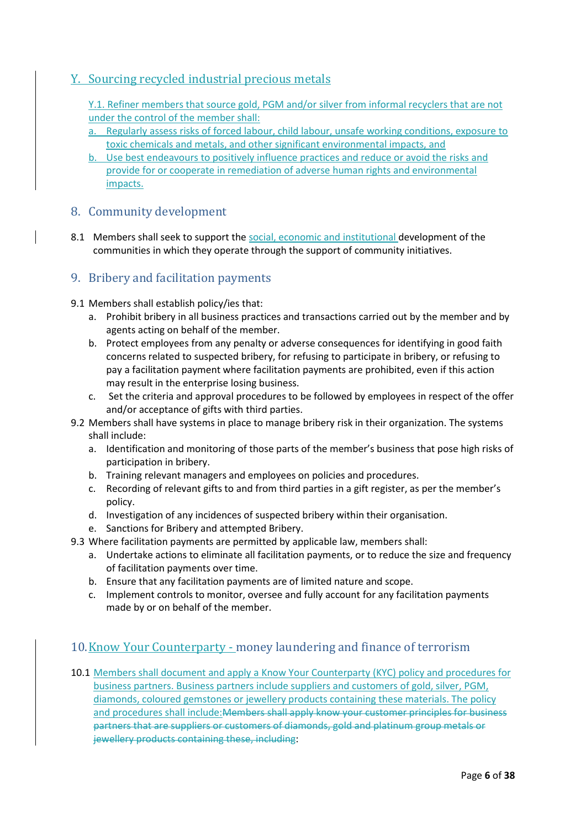# Y. Sourcing recycled industrial precious metals

Y.1. Refiner members that source gold, PGM and/or silver from informal recyclers that are not under the control of the member shall:

- a. Regularly assess risks of forced labour, child labour, unsafe working conditions, exposure to toxic chemicals and metals, and other significant environmental impacts, and
- b. Use best endeavours to positively influence practices and reduce or avoid the risks and provide for or cooperate in remediation of adverse human rights and environmental impacts.

### 8. Community development

8.1 Members shall seek to support the social, economic and institutional development of the communities in which they operate through the support of community initiatives.

# 9. Bribery and facilitation payments

#### 9.1 Members shall establish policy/ies that:

- a. Prohibit bribery in all business practices and transactions carried out by the member and by agents acting on behalf of the member.
- b. Protect employees from any penalty or adverse consequences for identifying in good faith concerns related to suspected bribery, for refusing to participate in bribery, or refusing to pay a facilitation payment where facilitation payments are prohibited, even if this action may result in the enterprise losing business.
- c. Set the criteria and approval procedures to be followed by employees in respect of the offer and/or acceptance of gifts with third parties.
- 9.2 Members shall have systems in place to manage bribery risk in their organization. The systems shall include:
	- a. Identification and monitoring of those parts of the member's business that pose high risks of participation in bribery.
	- b. Training relevant managers and employees on policies and procedures.
	- c. Recording of relevant gifts to and from third parties in a gift register, as per the member's policy.
	- d. Investigation of any incidences of suspected bribery within their organisation.
	- e. Sanctions for Bribery and attempted Bribery.
- 9.3 Where facilitation payments are permitted by applicable law, members shall:
	- a. Undertake actions to eliminate all facilitation payments, or to reduce the size and frequency of facilitation payments over time.
	- b. Ensure that any facilitation payments are of limited nature and scope.
	- c. Implement controls to monitor, oversee and fully account for any facilitation payments made by or on behalf of the member.

### 10.Know Your Counterparty - money laundering and finance of terrorism

10.1 Members shall document and apply a Know Your Counterparty (KYC) policy and procedures for business partners. Business partners include suppliers and customers of gold, silver, PGM, diamonds, coloured gemstones or jewellery products containing these materials. The policy and procedures shall include:Members shall apply know your customer principles for business partners that are suppliers or customers of diamonds, gold and platinum group metals or jewellery products containing these, including: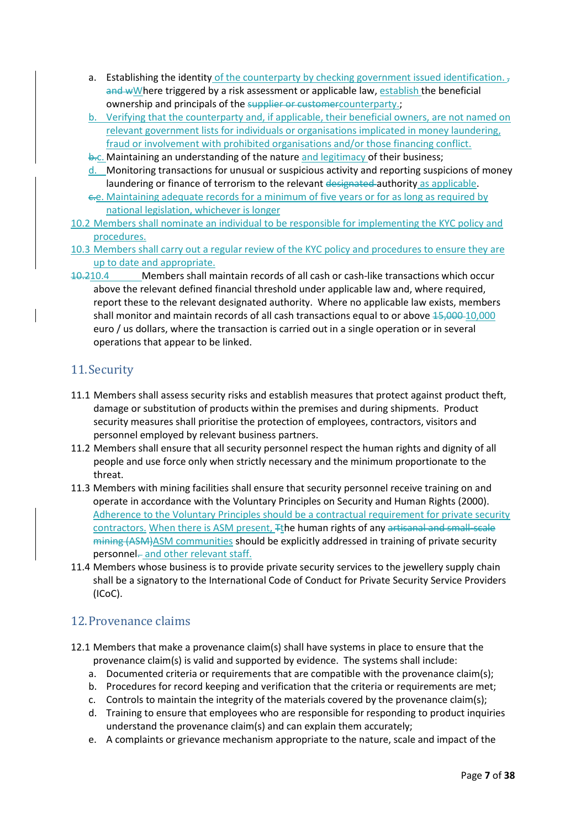- a. Establishing the identity of the counterparty by checking government issued identification.  $<sub>7</sub>$ </sub> and wWhere triggered by a risk assessment or applicable law, establish the beneficial ownership and principals of the supplier or customercounterparty.;
- b. Verifying that the counterparty and, if applicable, their beneficial owners, are not named on relevant government lists for individuals or organisations implicated in money laundering, fraud or involvement with prohibited organisations and/or those financing conflict.
- b.c. Maintaining an understanding of the nature and legitimacy of their business;
- d. Monitoring transactions for unusual or suspicious activity and reporting suspicions of money laundering or finance of terrorism to the relevant designated authority as applicable.
- c.e. Maintaining adequate records for a minimum of five years or for as long as required by national legislation, whichever is longer
- 10.2 Members shall nominate an individual to be responsible for implementing the KYC policy and procedures.
- 10.3 Members shall carry out a regular review of the KYC policy and procedures to ensure they are up to date and appropriate.
- 10.210.4 Members shall maintain records of all cash or cash-like transactions which occur above the relevant defined financial threshold under applicable law and, where required, report these to the relevant designated authority. Where no applicable law exists, members shall monitor and maintain records of all cash transactions equal to or above 15,000-10,000 euro / us dollars, where the transaction is carried out in a single operation or in several operations that appear to be linked.

# 11.Security

- 11.1 Members shall assess security risks and establish measures that protect against product theft, damage or substitution of products within the premises and during shipments. Product security measures shall prioritise the protection of employees, contractors, visitors and personnel employed by relevant business partners.
- 11.2 Members shall ensure that all security personnel respect the human rights and dignity of all people and use force only when strictly necessary and the minimum proportionate to the threat.
- 11.3 Members with mining facilities shall ensure that security personnel receive training on and operate in accordance with the Voluntary Principles on Security and Human Rights (2000). Adherence to the Voluntary Principles should be a contractual requirement for private security contractors. When there is ASM present, <sub>Ft</sub>he human rights of any artisanal and small-scale mining (ASM)ASM communities should be explicitly addressed in training of private security personnel-and other relevant staff.
- 11.4 Members whose business is to provide private security services to the jewellery supply chain shall be a signatory to the International Code of Conduct for Private Security Service Providers (ICoC).

### 12.Provenance claims

- 12.1 Members that make a provenance claim(s) shall have systems in place to ensure that the provenance claim(s) is valid and supported by evidence. The systems shall include:
	- a. Documented criteria or requirements that are compatible with the provenance claim(s);
	- b. Procedures for record keeping and verification that the criteria or requirements are met;
	- c. Controls to maintain the integrity of the materials covered by the provenance claim(s);
	- d. Training to ensure that employees who are responsible for responding to product inquiries understand the provenance claim(s) and can explain them accurately;
	- e. A complaints or grievance mechanism appropriate to the nature, scale and impact of the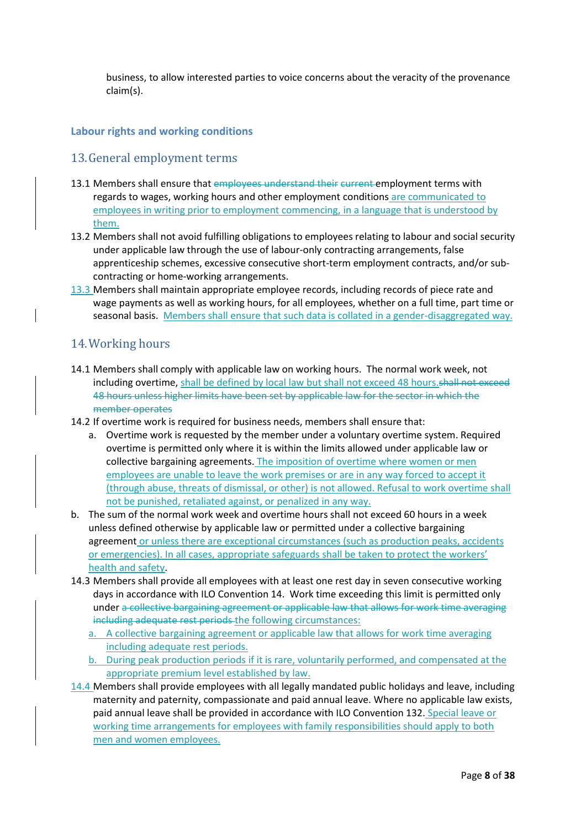business, to allow interested parties to voice concerns about the veracity of the provenance claim(s).

### **Labour rights and working conditions**

### 13.General employment terms

- 13.1 Members shall ensure that employees understand their current employment terms with regards to wages, working hours and other employment conditions are communicated to employees in writing prior to employment commencing, in a language that is understood by them.
- 13.2 Members shall not avoid fulfilling obligations to employees relating to labour and social security under applicable law through the use of labour-only contracting arrangements, false apprenticeship schemes, excessive consecutive short-term employment contracts, and/or subcontracting or home-working arrangements.
- 13.3 Members shall maintain appropriate employee records, including records of piece rate and wage payments as well as working hours, for all employees, whether on a full time, part time or seasonal basis. Members shall ensure that such data is collated in a gender-disaggregated way.

### 14.Working hours

- 14.1 Members shall comply with applicable law on working hours. The normal work week, not including overtime, shall be defined by local law but shall not exceed 48 hours.shall not exceed 48 hours unless higher limits have been set by applicable law for the sector in which the member operates
- 14.2 If overtime work is required for business needs, members shall ensure that:
	- a. Overtime work is requested by the member under a voluntary overtime system. Required overtime is permitted only where it is within the limits allowed under applicable law or collective bargaining agreements. The imposition of overtime where women or men employees are unable to leave the work premises or are in any way forced to accept it (through abuse, threats of dismissal, or other) is not allowed. Refusal to work overtime shall not be punished, retaliated against, or penalized in any way.
- b. The sum of the normal work week and overtime hours shall not exceed 60 hours in a week unless defined otherwise by applicable law or permitted under a collective bargaining agreement or unless there are exceptional circumstances (such as production peaks, accidents or emergencies). In all cases, appropriate safeguards shall be taken to protect the workers' health and safety.
- 14.3 Members shall provide all employees with at least one rest day in seven consecutive working days in accordance with ILO Convention 14. Work time exceeding this limit is permitted only under a collective bargaining agreement or applicable law that allows for work time averaging including adequate rest periods the following circumstances:
	- a. A collective bargaining agreement or applicable law that allows for work time averaging including adequate rest periods.
	- b. During peak production periods if it is rare, voluntarily performed, and compensated at the appropriate premium level established by law.
- 14.4 Members shall provide employees with all legally mandated public holidays and leave, including maternity and paternity, compassionate and paid annual leave. Where no applicable law exists, paid annual leave shall be provided in accordance with ILO Convention 132. Special leave or working time arrangements for employees with family responsibilities should apply to both men and women employees.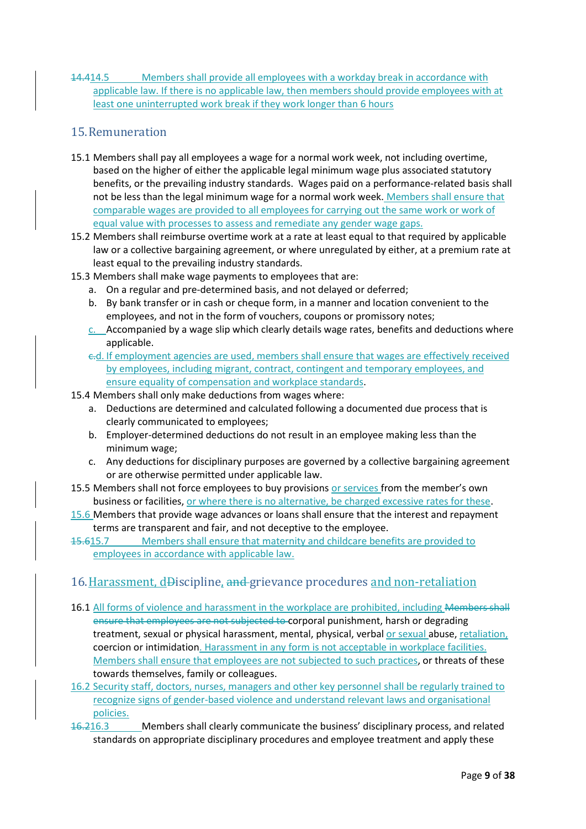14.414.5 Members shall provide all employees with a workday break in accordance with applicable law. If there is no applicable law, then members should provide employees with at least one uninterrupted work break if they work longer than 6 hours

# 15.Remuneration

- 15.1 Members shall pay all employees a wage for a normal work week, not including overtime, based on the higher of either the applicable legal minimum wage plus associated statutory benefits, or the prevailing industry standards. Wages paid on a performance-related basis shall not be less than the legal minimum wage for a normal work week. Members shall ensure that comparable wages are provided to all employees for carrying out the same work or work of equal value with processes to assess and remediate any gender wage gaps.
- 15.2 Members shall reimburse overtime work at a rate at least equal to that required by applicable law or a collective bargaining agreement, or where unregulated by either, at a premium rate at least equal to the prevailing industry standards.
- 15.3 Members shall make wage payments to employees that are:
	- a. On a regular and pre-determined basis, and not delayed or deferred;
	- b. By bank transfer or in cash or cheque form, in a manner and location convenient to the employees, and not in the form of vouchers, coupons or promissory notes;
	- $c.$  Accompanied by a wage slip which clearly details wage rates, benefits and deductions where applicable.
	- c.d. If employment agencies are used, members shall ensure that wages are effectively received by employees, including migrant, contract, contingent and temporary employees, and ensure equality of compensation and workplace standards.
- 15.4 Members shall only make deductions from wages where:
	- a. Deductions are determined and calculated following a documented due process that is clearly communicated to employees;
	- b. Employer-determined deductions do not result in an employee making less than the minimum wage;
	- c. Any deductions for disciplinary purposes are governed by a collective bargaining agreement or are otherwise permitted under applicable law.
- 15.5 Members shall not force employees to buy provisions or services from the member's own business or facilities, or where there is no alternative, be charged excessive rates for these.
- 15.6 Members that provide wage advances or loans shall ensure that the interest and repayment terms are transparent and fair, and not deceptive to the employee.
- 15.615.7 Members shall ensure that maternity and childcare benefits are provided to employees in accordance with applicable law.

### 16.Harassment, dDiscipline, and grievance procedures and non-retaliation

- 16.1 All forms of violence and harassment in the workplace are prohibited, including Members shall ensure that employees are not subjected to corporal punishment, harsh or degrading treatment, sexual or physical harassment, mental, physical, verbal or sexual abuse, retaliation, coercion or intimidation. Harassment in any form is not acceptable in workplace facilities. Members shall ensure that employees are not subjected to such practices, or threats of these towards themselves, family or colleagues.
- 16.2 Security staff, doctors, nurses, managers and other key personnel shall be regularly trained to recognize signs of gender-based violence and understand relevant laws and organisational policies.
- 16.216.3 Members shall clearly communicate the business' disciplinary process, and related standards on appropriate disciplinary procedures and employee treatment and apply these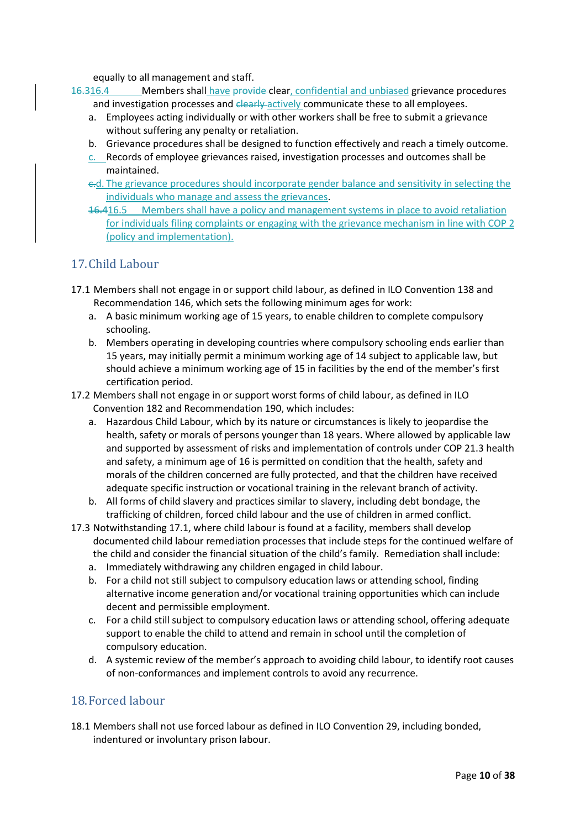equally to all management and staff.

16.316.4 Members shall have provide clear, confidential and unbiased grievance procedures and investigation processes and elearly actively communicate these to all employees.

- a. Employees acting individually or with other workers shall be free to submit a grievance without suffering any penalty or retaliation.
- b. Grievance procedures shall be designed to function effectively and reach a timely outcome.
- c. Records of employee grievances raised, investigation processes and outcomes shall be maintained.
- c.d. The grievance procedures should incorporate gender balance and sensitivity in selecting the individuals who manage and assess the grievances.
- 16.416.5 Members shall have a policy and management systems in place to avoid retaliation for individuals filing complaints or engaging with the grievance mechanism in line with COP 2 (policy and implementation).

### 17.Child Labour

- 17.1 Members shall not engage in or support child labour, as defined in ILO Convention 138 and Recommendation 146, which sets the following minimum ages for work:
	- a. A basic minimum working age of 15 years, to enable children to complete compulsory schooling.
	- b. Members operating in developing countries where compulsory schooling ends earlier than 15 years, may initially permit a minimum working age of 14 subject to applicable law, but should achieve a minimum working age of 15 in facilities by the end of the member's first certification period.
- 17.2 Members shall not engage in or support worst forms of child labour, as defined in ILO Convention 182 and Recommendation 190, which includes:
	- a. Hazardous Child Labour, which by its nature or circumstances is likely to jeopardise the health, safety or morals of persons younger than 18 years. Where allowed by applicable law and supported by assessment of risks and implementation of controls under COP 21.3 health and safety, a minimum age of 16 is permitted on condition that the health, safety and morals of the children concerned are fully protected, and that the children have received adequate specific instruction or vocational training in the relevant branch of activity.
	- b. All forms of child slavery and practices similar to slavery, including debt bondage, the trafficking of children, forced child labour and the use of children in armed conflict.
- 17.3 Notwithstanding 17.1, where child labour is found at a facility, members shall develop documented child labour remediation processes that include steps for the continued welfare of the child and consider the financial situation of the child's family. Remediation shall include:
	- a. Immediately withdrawing any children engaged in child labour.
	- b. For a child not still subject to compulsory education laws or attending school, finding alternative income generation and/or vocational training opportunities which can include decent and permissible employment.
	- c. For a child still subject to compulsory education laws or attending school, offering adequate support to enable the child to attend and remain in school until the completion of compulsory education.
	- d. A systemic review of the member's approach to avoiding child labour, to identify root causes of non-conformances and implement controls to avoid any recurrence.

### 18.Forced labour

18.1 Members shall not use forced labour as defined in ILO Convention 29, including bonded, indentured or involuntary prison labour.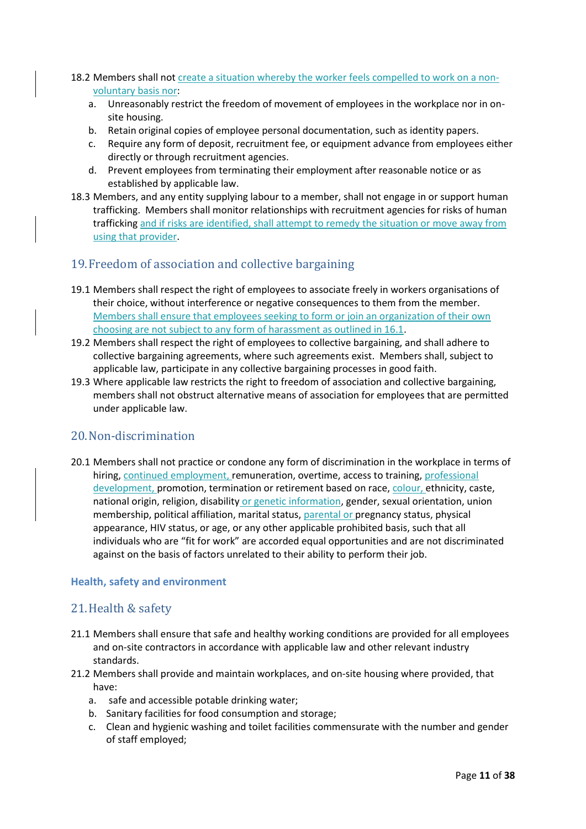#### 18.2 Members shall not create a situation whereby the worker feels compelled to work on a nonvoluntary basis nor:

- a. Unreasonably restrict the freedom of movement of employees in the workplace nor in onsite housing.
- b. Retain original copies of employee personal documentation, such as identity papers.
- c. Require any form of deposit, recruitment fee, or equipment advance from employees either directly or through recruitment agencies.
- d. Prevent employees from terminating their employment after reasonable notice or as established by applicable law.
- 18.3 Members, and any entity supplying labour to a member, shall not engage in or support human trafficking. Members shall monitor relationships with recruitment agencies for risks of human trafficking and if risks are identified, shall attempt to remedy the situation or move away from using that provider.

### 19.Freedom of association and collective bargaining

- 19.1 Members shall respect the right of employees to associate freely in workers organisations of their choice, without interference or negative consequences to them from the member. Members shall ensure that employees seeking to form or join an organization of their own choosing are not subject to any form of harassment as outlined in 16.1.
- 19.2 Members shall respect the right of employees to collective bargaining, and shall adhere to collective bargaining agreements, where such agreements exist. Members shall, subject to applicable law, participate in any collective bargaining processes in good faith.
- 19.3 Where applicable law restricts the right to freedom of association and collective bargaining, members shall not obstruct alternative means of association for employees that are permitted under applicable law.

#### 20.Non-discrimination

20.1 Members shall not practice or condone any form of discrimination in the workplace in terms of hiring, continued employment, remuneration, overtime, access to training, professional development, promotion, termination or retirement based on race, colour, ethnicity, caste, national origin, religion, disability or genetic information, gender, sexual orientation, union membership, political affiliation, marital status, parental or pregnancy status, physical appearance, HIV status, or age, or any other applicable prohibited basis, such that all individuals who are "fit for work" are accorded equal opportunities and are not discriminated against on the basis of factors unrelated to their ability to perform their job.

#### **Health, safety and environment**

#### 21.Health & safety

- 21.1 Members shall ensure that safe and healthy working conditions are provided for all employees and on-site contractors in accordance with applicable law and other relevant industry standards.
- 21.2 Members shall provide and maintain workplaces, and on-site housing where provided, that have:
	- a. safe and accessible potable drinking water;
	- b. Sanitary facilities for food consumption and storage;
	- c. Clean and hygienic washing and toilet facilities commensurate with the number and gender of staff employed;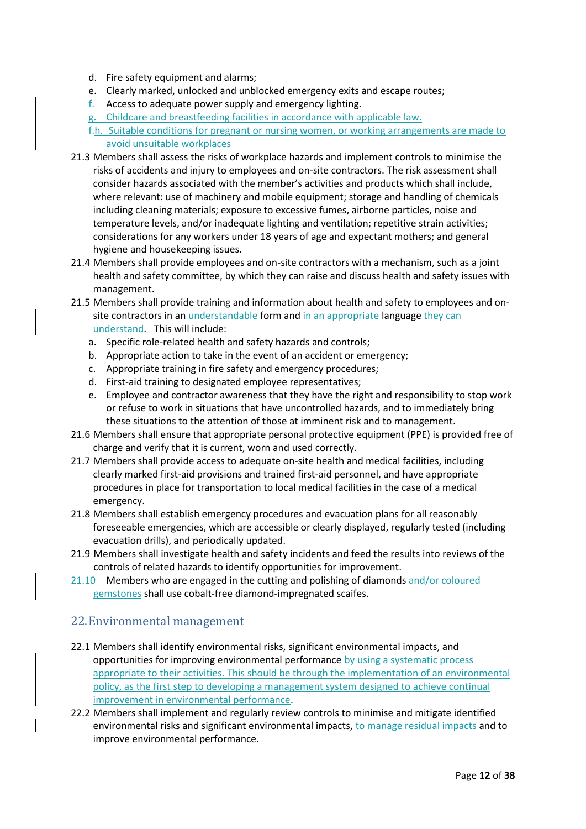- d. Fire safety equipment and alarms;
- e. Clearly marked, unlocked and unblocked emergency exits and escape routes;
- f. Access to adequate power supply and emergency lighting.
- g. Childcare and breastfeeding facilities in accordance with applicable law.

f.h. Suitable conditions for pregnant or nursing women, or working arrangements are made to avoid unsuitable workplaces

- 21.3 Members shall assess the risks of workplace hazards and implement controls to minimise the risks of accidents and injury to employees and on-site contractors. The risk assessment shall consider hazards associated with the member's activities and products which shall include, where relevant: use of machinery and mobile equipment; storage and handling of chemicals including cleaning materials; exposure to excessive fumes, airborne particles, noise and temperature levels, and/or inadequate lighting and ventilation; repetitive strain activities; considerations for any workers under 18 years of age and expectant mothers; and general hygiene and housekeeping issues.
- 21.4 Members shall provide employees and on-site contractors with a mechanism, such as a joint health and safety committee, by which they can raise and discuss health and safety issues with management.
- 21.5 Members shall provide training and information about health and safety to employees and onsite contractors in an understandable form and in an appropriate language they can understand. This will include:
	- a. Specific role-related health and safety hazards and controls;
	- b. Appropriate action to take in the event of an accident or emergency;
	- c. Appropriate training in fire safety and emergency procedures;
	- d. First-aid training to designated employee representatives;
	- e. Employee and contractor awareness that they have the right and responsibility to stop work or refuse to work in situations that have uncontrolled hazards, and to immediately bring these situations to the attention of those at imminent risk and to management.
- 21.6 Members shall ensure that appropriate personal protective equipment (PPE) is provided free of charge and verify that it is current, worn and used correctly.
- 21.7 Members shall provide access to adequate on-site health and medical facilities, including clearly marked first-aid provisions and trained first-aid personnel, and have appropriate procedures in place for transportation to local medical facilities in the case of a medical emergency.
- 21.8 Members shall establish emergency procedures and evacuation plans for all reasonably foreseeable emergencies, which are accessible or clearly displayed, regularly tested (including evacuation drills), and periodically updated.
- 21.9 Members shall investigate health and safety incidents and feed the results into reviews of the controls of related hazards to identify opportunities for improvement.
- 21.10 Members who are engaged in the cutting and polishing of diamonds and/or coloured gemstones shall use cobalt-free diamond-impregnated scaifes.

### 22.Environmental management

- 22.1 Members shall identify environmental risks, significant environmental impacts, and opportunities for improving environmental performance by using a systematic process appropriate to their activities. This should be through the implementation of an environmental policy, as the first step to developing a management system designed to achieve continual improvement in environmental performance.
- 22.2 Members shall implement and regularly review controls to minimise and mitigate identified environmental risks and significant environmental impacts, to manage residual impacts and to improve environmental performance.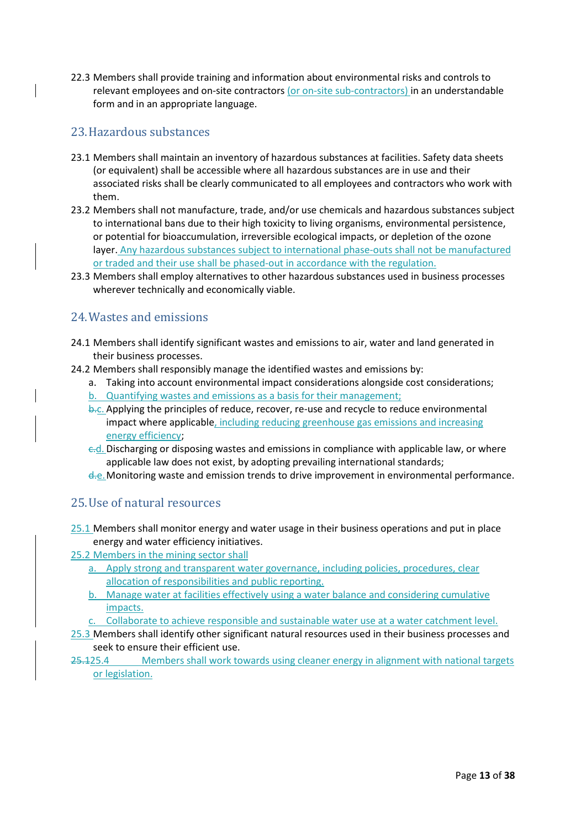22.3 Members shall provide training and information about environmental risks and controls to relevant employees and on-site contractors (or on-site sub-contractors) in an understandable form and in an appropriate language.

# 23.Hazardous substances

- 23.1 Members shall maintain an inventory of hazardous substances at facilities. Safety data sheets (or equivalent) shall be accessible where all hazardous substances are in use and their associated risks shall be clearly communicated to all employees and contractors who work with them.
- 23.2 Members shall not manufacture, trade, and/or use chemicals and hazardous substances subject to international bans due to their high toxicity to living organisms, environmental persistence, or potential for bioaccumulation, irreversible ecological impacts, or depletion of the ozone layer. Any hazardous substances subject to international phase-outs shall not be manufactured or traded and their use shall be phased-out in accordance with the regulation.
- 23.3 Members shall employ alternatives to other hazardous substances used in business processes wherever technically and economically viable.

# 24.Wastes and emissions

- 24.1 Members shall identify significant wastes and emissions to air, water and land generated in their business processes.
- 24.2 Members shall responsibly manage the identified wastes and emissions by:
	- a. Taking into account environmental impact considerations alongside cost considerations;
	- Quantifying wastes and emissions as a basis for their management;
	- b.c. Applying the principles of reduce, recover, re-use and recycle to reduce environmental impact where applicable, including reducing greenhouse gas emissions and increasing energy efficiency;
	- $-d$ . Discharging or disposing wastes and emissions in compliance with applicable law, or where applicable law does not exist, by adopting prevailing international standards;
	- d.e.Monitoring waste and emission trends to drive improvement in environmental performance.

# 25.Use of natural resources

- 25.1 Members shall monitor energy and water usage in their business operations and put in place energy and water efficiency initiatives.
- 25.2 Members in the mining sector shall
	- a. Apply strong and transparent water governance, including policies, procedures, clear allocation of responsibilities and public reporting.
	- b. Manage water at facilities effectively using a water balance and considering cumulative impacts.
	- c. Collaborate to achieve responsible and sustainable water use at a water catchment level.
- 25.3 Members shall identify other significant natural resources used in their business processes and seek to ensure their efficient use.
- 25.125.4 Members shall work towards using cleaner energy in alignment with national targets or legislation.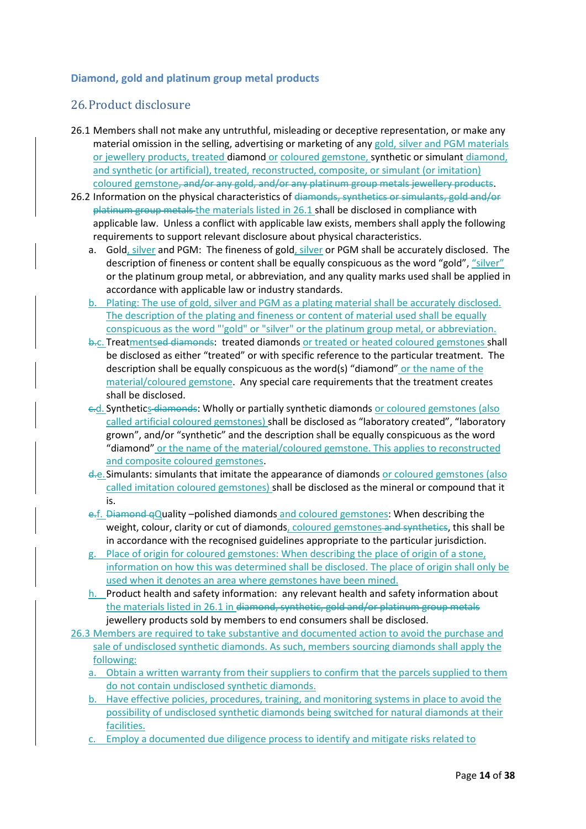### **Diamond, gold and platinum group metal products**

### 26.Product disclosure

- 26.1 Members shall not make any untruthful, misleading or deceptive representation, or make any material omission in the selling, advertising or marketing of any gold, silver and PGM materials or jewellery products, treated diamond or coloured gemstone, synthetic or simulant diamond, and synthetic (or artificial), treated, reconstructed, composite, or simulant (or imitation) coloured gemstone, and/or any gold, and/or any platinum group metals jewellery products.
- 26.2 Information on the physical characteristics of diamonds, synthetics or simulants, gold and/or platinum group metals the materials listed in 26.1 shall be disclosed in compliance with applicable law. Unless a conflict with applicable law exists, members shall apply the following requirements to support relevant disclosure about physical characteristics.
	- a. Gold, silver and PGM: The fineness of gold, silver or PGM shall be accurately disclosed. The description of fineness or content shall be equally conspicuous as the word "gold", "silver" or the platinum group metal, or abbreviation, and any quality marks used shall be applied in accordance with applicable law or industry standards.
	- b. Plating: The use of gold, silver and PGM as a plating material shall be accurately disclosed. The description of the plating and fineness or content of material used shall be equally conspicuous as the word "'gold" or "silver" or the platinum group metal, or abbreviation.
	- b<sub>r</sub>c. Treatmentsed diamonds: treated diamonds or treated or heated coloured gemstones shall be disclosed as either "treated" or with specific reference to the particular treatment. The description shall be equally conspicuous as the word(s) "diamond" or the name of the material/coloured gemstone. Any special care requirements that the treatment creates shall be disclosed.
	- c.d. Synthetics diamonds: Wholly or partially synthetic diamonds or coloured gemstones (also called artificial coloured gemstones) shall be disclosed as "laboratory created", "laboratory grown", and/or "synthetic" and the description shall be equally conspicuous as the word "diamond" or the name of the material/coloured gemstone. This applies to reconstructed and composite coloured gemstones.
	- d.e.Simulants: simulants that imitate the appearance of diamonds or coloured gemstones (also called imitation coloured gemstones) shall be disclosed as the mineral or compound that it is.
	- e.f. Diamond qQuality –polished diamonds and coloured gemstones: When describing the weight, colour, clarity or cut of diamonds, coloured gemstones and synthetics, this shall be in accordance with the recognised guidelines appropriate to the particular jurisdiction.
	- Place of origin for coloured gemstones: When describing the place of origin of a stone, information on how this was determined shall be disclosed. The place of origin shall only be used when it denotes an area where gemstones have been mined.
	- h. Product health and safety information: any relevant health and safety information about the materials listed in 26.1 in diamond, synthetic, gold and/or platinum group metals jewellery products sold by members to end consumers shall be disclosed.
- 26.3 Members are required to take substantive and documented action to avoid the purchase and sale of undisclosed synthetic diamonds. As such, members sourcing diamonds shall apply the following:
	- a. Obtain a written warranty from their suppliers to confirm that the parcels supplied to them do not contain undisclosed synthetic diamonds.
	- b. Have effective policies, procedures, training, and monitoring systems in place to avoid the possibility of undisclosed synthetic diamonds being switched for natural diamonds at their facilities.
	- c. Employ a documented due diligence process to identify and mitigate risks related to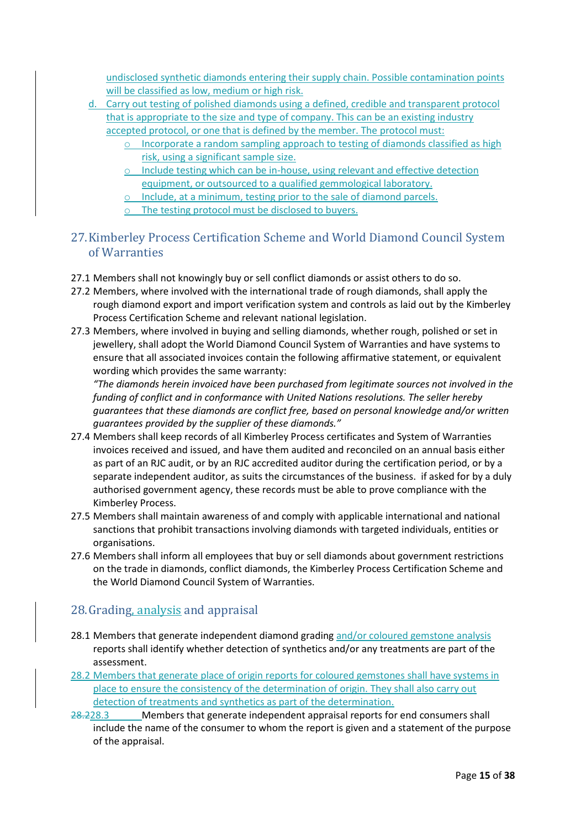undisclosed synthetic diamonds entering their supply chain. Possible contamination points will be classified as low, medium or high risk.

- d. Carry out testing of polished diamonds using a defined, credible and transparent protocol that is appropriate to the size and type of company. This can be an existing industry accepted protocol, or one that is defined by the member. The protocol must:
	- o Incorporate a random sampling approach to testing of diamonds classified as high risk, using a significant sample size.
	- o Include testing which can be in-house, using relevant and effective detection equipment, or outsourced to a qualified gemmological laboratory.
	- o Include, at a minimum, testing prior to the sale of diamond parcels.
	- o The testing protocol must be disclosed to buyers.
- 27.Kimberley Process Certification Scheme and World Diamond Council System of Warranties
- 27.1 Members shall not knowingly buy or sell conflict diamonds or assist others to do so.
- 27.2 Members, where involved with the international trade of rough diamonds, shall apply the rough diamond export and import verification system and controls as laid out by the Kimberley Process Certification Scheme and relevant national legislation.
- 27.3 Members, where involved in buying and selling diamonds, whether rough, polished or set in jewellery, shall adopt the World Diamond Council System of Warranties and have systems to ensure that all associated invoices contain the following affirmative statement, or equivalent wording which provides the same warranty:

*"The diamonds herein invoiced have been purchased from legitimate sources not involved in the funding of conflict and in conformance with United Nations resolutions. The seller hereby guarantees that these diamonds are conflict free, based on personal knowledge and/or written guarantees provided by the supplier of these diamonds."* 

- 27.4 Members shall keep records of all Kimberley Process certificates and System of Warranties invoices received and issued, and have them audited and reconciled on an annual basis either as part of an RJC audit, or by an RJC accredited auditor during the certification period, or by a separate independent auditor, as suits the circumstances of the business. if asked for by a duly authorised government agency, these records must be able to prove compliance with the Kimberley Process.
- 27.5 Members shall maintain awareness of and comply with applicable international and national sanctions that prohibit transactions involving diamonds with targeted individuals, entities or organisations.
- 27.6 Members shall inform all employees that buy or sell diamonds about government restrictions on the trade in diamonds, conflict diamonds, the Kimberley Process Certification Scheme and the World Diamond Council System of Warranties.

# 28.Grading, analysis and appraisal

- 28.1 Members that generate independent diamond grading and/or coloured gemstone analysis reports shall identify whether detection of synthetics and/or any treatments are part of the assessment.
- 28.2 Members that generate place of origin reports for coloured gemstones shall have systems in place to ensure the consistency of the determination of origin. They shall also carry out detection of treatments and synthetics as part of the determination.
- 28.228.3 Members that generate independent appraisal reports for end consumers shall include the name of the consumer to whom the report is given and a statement of the purpose of the appraisal.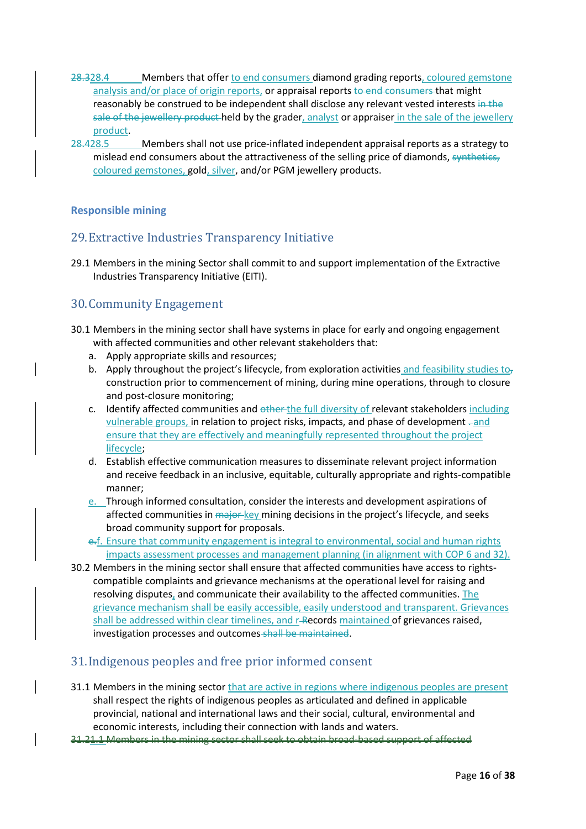- 28.328.4 Members that offer to end consumers diamond grading reports, coloured gemstone analysis and/or place of origin reports, or appraisal reports to end consumers that might reasonably be construed to be independent shall disclose any relevant vested interests in the sale of the jewellery product-held by the grader, analyst or appraiser in the sale of the jewellery product.
- 28.428.5 Members shall not use price-inflated independent appraisal reports as a strategy to mislead end consumers about the attractiveness of the selling price of diamonds, synthetics, coloured gemstones, gold, silver, and/or PGM jewellery products.

#### **Responsible mining**

# 29.Extractive Industries Transparency Initiative

29.1 Members in the mining Sector shall commit to and support implementation of the Extractive Industries Transparency Initiative (EITI).

# 30.Community Engagement

- 30.1 Members in the mining sector shall have systems in place for early and ongoing engagement with affected communities and other relevant stakeholders that:
	- a. Apply appropriate skills and resources;
	- b. Apply throughout the project's lifecycle, from exploration activities and feasibility studies to<sub>7</sub> construction prior to commencement of mining, during mine operations, through to closure and post-closure monitoring;
	- c. Identify affected communities and other the full diversity of relevant stakeholders including vulnerable groups, in relation to project risks, impacts, and phase of development . and ensure that they are effectively and meaningfully represented throughout the project lifecycle;
	- d. Establish effective communication measures to disseminate relevant project information and receive feedback in an inclusive, equitable, culturally appropriate and rights-compatible manner;
	- e. Through informed consultation, consider the interests and development aspirations of affected communities in major key mining decisions in the project's lifecycle, and seeks broad community support for proposals.
	- e.f. Ensure that community engagement is integral to environmental, social and human rights impacts assessment processes and management planning (in alignment with COP 6 and 32).
- 30.2 Members in the mining sector shall ensure that affected communities have access to rightscompatible complaints and grievance mechanisms at the operational level for raising and resolving disputes, and communicate their availability to the affected communities. The grievance mechanism shall be easily accessible, easily understood and transparent. Grievances shall be addressed within clear timelines, and r-Records maintained of grievances raised, investigation processes and outcomes shall be maintained.

### 31.Indigenous peoples and free prior informed consent

- 31.1 Members in the mining sector that are active in regions where indigenous peoples are present shall respect the rights of indigenous peoples as articulated and defined in applicable provincial, national and international laws and their social, cultural, environmental and economic interests, including their connection with lands and waters.
- 31.21.1 Members in the mining sector shall seek to obtain broad-based support of affected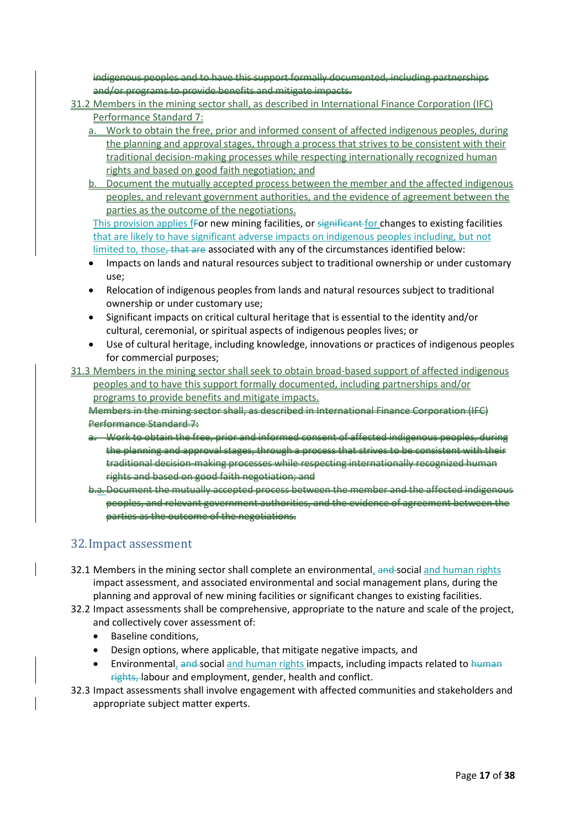indigenous peoples and to have this support formally documented, including partnerships and/or programs to provide benefits and mitigate impacts.

- 31.2 Members in the mining sector shall, as described in International Finance Corporation (IFC) Performance Standard 7:
	- a. Work to obtain the free, prior and informed consent of affected indigenous peoples, during the planning and approval stages, through a process that strives to be consistent with their traditional decision-making processes while respecting internationally recognized human rights and based on good faith negotiation; and
	- b. Document the mutually accepted process between the member and the affected indigenous peoples, and relevant government authorities, and the evidence of agreement between the parties as the outcome of the negotiations.

This provision applies fFor new mining facilities, or significant for changes to existing facilities that are likely to have significant adverse impacts on indigenous peoples including, but not limited to, those, that are associated with any of the circumstances identified below:

- Impacts on lands and natural resources subject to traditional ownership or under customary use;
- Relocation of indigenous peoples from lands and natural resources subject to traditional ownership or under customary use;
- Significant impacts on critical cultural heritage that is essential to the identity and/or cultural, ceremonial, or spiritual aspects of indigenous peoples lives; or
- Use of cultural heritage, including knowledge, innovations or practices of indigenous peoples for commercial purposes;
- 31.3 Members in the mining sector shall seek to obtain broad-based support of affected indigenous peoples and to have this support formally documented, including partnerships and/or programs to provide benefits and mitigate impacts.

Members in the mining sector shall, as described in International Finance Corporation (IFC) Performance Standard 7:

- a. Work to obtain the free, prior and informed consent of affected indigenous peoples, during the planning and approval stages, through a process that strives to be consistent with their traditional decision-making processes while respecting internationally recognized human rights and based on good faith negotiation; and
- b.a.Document the mutually accepted process between the member and the affected indigenous peoples, and relevant government authorities, and the evidence of agreement between the parties as the outcome of the negotiations.

### 32.Impact assessment

- 32.1 Members in the mining sector shall complete an environmental, and social and human rights impact assessment, and associated environmental and social management plans, during the planning and approval of new mining facilities or significant changes to existing facilities.
- 32.2 Impact assessments shall be comprehensive, appropriate to the nature and scale of the project, and collectively cover assessment of:
	- Baseline conditions,
	- Design options, where applicable, that mitigate negative impacts*,* and
	- Environmental, and social and human rights impacts, including impacts related to human rights, labour and employment, gender, health and conflict.
- 32.3 Impact assessments shall involve engagement with affected communities and stakeholders and appropriate subject matter experts.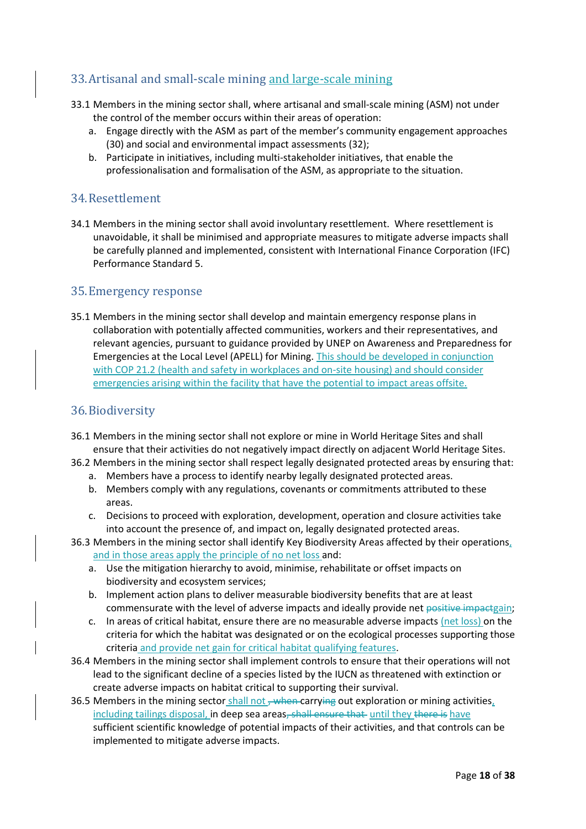# 33.Artisanal and small-scale mining and large-scale mining

- 33.1 Members in the mining sector shall, where artisanal and small-scale mining (ASM) not under the control of the member occurs within their areas of operation:
	- a. Engage directly with the ASM as part of the member's community engagement approaches (30) and social and environmental impact assessments (32);
	- b. Participate in initiatives, including multi-stakeholder initiatives, that enable the professionalisation and formalisation of the ASM, as appropriate to the situation.

### 34.Resettlement

34.1 Members in the mining sector shall avoid involuntary resettlement. Where resettlement is unavoidable, it shall be minimised and appropriate measures to mitigate adverse impacts shall be carefully planned and implemented, consistent with International Finance Corporation (IFC) Performance Standard 5.

#### 35.Emergency response

35.1 Members in the mining sector shall develop and maintain emergency response plans in collaboration with potentially affected communities, workers and their representatives, and relevant agencies, pursuant to guidance provided by UNEP on Awareness and Preparedness for Emergencies at the Local Level (APELL) for Mining. This should be developed in conjunction with COP 21.2 (health and safety in workplaces and on-site housing) and should consider emergencies arising within the facility that have the potential to impact areas offsite.

### 36.Biodiversity

- 36.1 Members in the mining sector shall not explore or mine in World Heritage Sites and shall ensure that their activities do not negatively impact directly on adjacent World Heritage Sites.
- 36.2 Members in the mining sector shall respect legally designated protected areas by ensuring that:
	- a. Members have a process to identify nearby legally designated protected areas.
	- b. Members comply with any regulations, covenants or commitments attributed to these areas.
	- c. Decisions to proceed with exploration, development, operation and closure activities take into account the presence of, and impact on, legally designated protected areas.
- 36.3 Members in the mining sector shall identify Key Biodiversity Areas affected by their operations, and in those areas apply the principle of no net loss and:
	- a. Use the mitigation hierarchy to avoid, minimise, rehabilitate or offset impacts on biodiversity and ecosystem services;
	- b. Implement action plans to deliver measurable biodiversity benefits that are at least commensurate with the level of adverse impacts and ideally provide net positive impactgain;
	- c. In areas of critical habitat, ensure there are no measurable adverse impacts (net loss) on the criteria for which the habitat was designated or on the ecological processes supporting those criteria and provide net gain for critical habitat qualifying features.
- 36.4 Members in the mining sector shall implement controls to ensure that their operations will not lead to the significant decline of a species listed by the IUCN as threatened with extinction or create adverse impacts on habitat critical to supporting their survival.
- 36.5 Members in the mining sector shall not <del>, when carrying</del> out exploration or mining activities, including tailings disposal, in deep sea areas, shall ensure that until they there is have sufficient scientific knowledge of potential impacts of their activities, and that controls can be implemented to mitigate adverse impacts.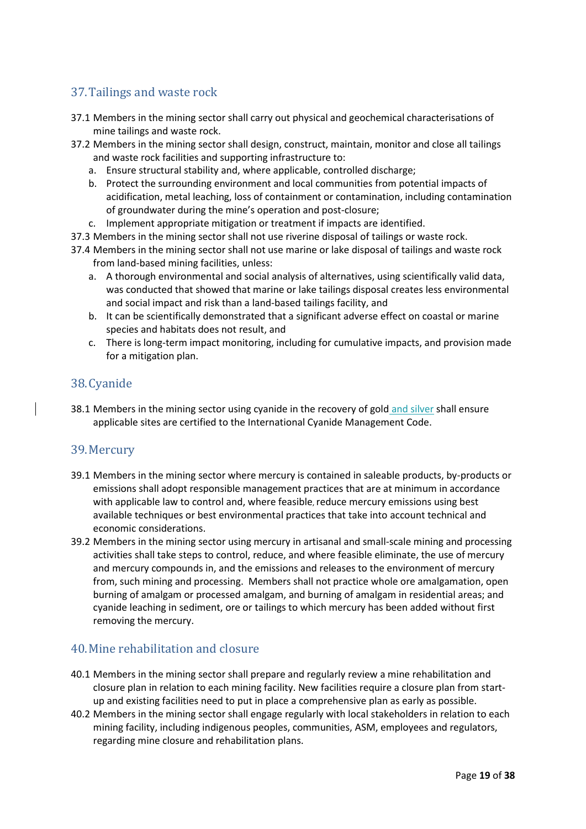# 37.Tailings and waste rock

- 37.1 Members in the mining sector shall carry out physical and geochemical characterisations of mine tailings and waste rock.
- 37.2 Members in the mining sector shall design, construct, maintain, monitor and close all tailings and waste rock facilities and supporting infrastructure to:
	- a. Ensure structural stability and, where applicable, controlled discharge;
	- b. Protect the surrounding environment and local communities from potential impacts of acidification, metal leaching, loss of containment or contamination, including contamination of groundwater during the mine's operation and post-closure;
	- c. Implement appropriate mitigation or treatment if impacts are identified.
- 37.3 Members in the mining sector shall not use riverine disposal of tailings or waste rock.
- 37.4 Members in the mining sector shall not use marine or lake disposal of tailings and waste rock from land-based mining facilities, unless:
	- a. A thorough environmental and social analysis of alternatives, using scientifically valid data, was conducted that showed that marine or lake tailings disposal creates less environmental and social impact and risk than a land-based tailings facility, and
	- b. It can be scientifically demonstrated that a significant adverse effect on coastal or marine species and habitats does not result, and
	- c. There is long-term impact monitoring, including for cumulative impacts, and provision made for a mitigation plan.

### 38.Cyanide

38.1 Members in the mining sector using cyanide in the recovery of gold and silver shall ensure applicable sites are certified to the International Cyanide Management Code.

#### 39.Mercury

- 39.1 Members in the mining sector where mercury is contained in saleable products, by-products or emissions shall adopt responsible management practices that are at minimum in accordance with applicable law to control and, where feasible, reduce mercury emissions using best available techniques or best environmental practices that take into account technical and economic considerations.
- 39.2 Members in the mining sector using mercury in artisanal and small-scale mining and processing activities shall take steps to control, reduce, and where feasible eliminate, the use of mercury and mercury compounds in, and the emissions and releases to the environment of mercury from, such mining and processing. Members shall not practice whole ore amalgamation, open burning of amalgam or processed amalgam, and burning of amalgam in residential areas; and cyanide leaching in sediment, ore or tailings to which mercury has been added without first removing the mercury.

### 40.Mine rehabilitation and closure

- 40.1 Members in the mining sector shall prepare and regularly review a mine rehabilitation and closure plan in relation to each mining facility. New facilities require a closure plan from startup and existing facilities need to put in place a comprehensive plan as early as possible.
- 40.2 Members in the mining sector shall engage regularly with local stakeholders in relation to each mining facility, including indigenous peoples, communities, ASM, employees and regulators, regarding mine closure and rehabilitation plans.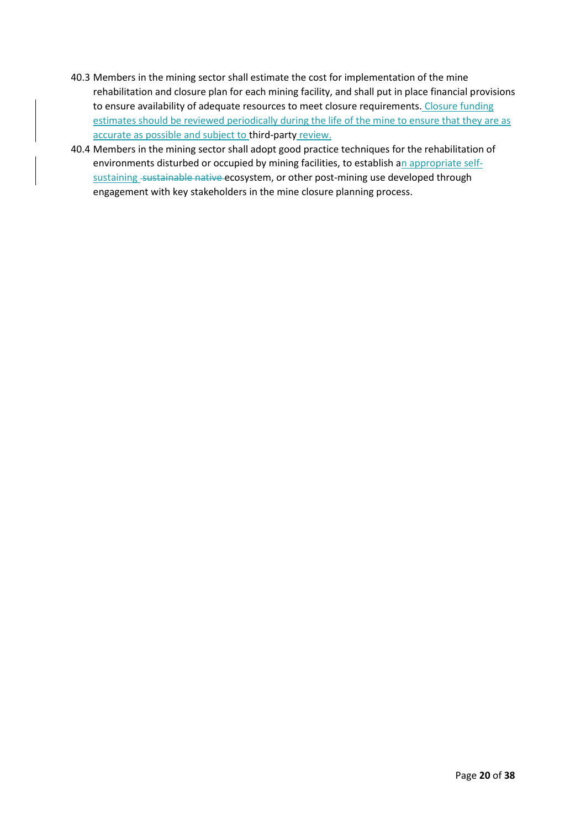- 40.3 Members in the mining sector shall estimate the cost for implementation of the mine rehabilitation and closure plan for each mining facility, and shall put in place financial provisions to ensure availability of adequate resources to meet closure requirements. Closure funding estimates should be reviewed periodically during the life of the mine to ensure that they are as accurate as possible and subject to third-party review.
- 40.4 Members in the mining sector shall adopt good practice techniques for the rehabilitation of environments disturbed or occupied by mining facilities, to establish an appropriate selfsustaining sustainable native ecosystem, or other post-mining use developed through engagement with key stakeholders in the mine closure planning process.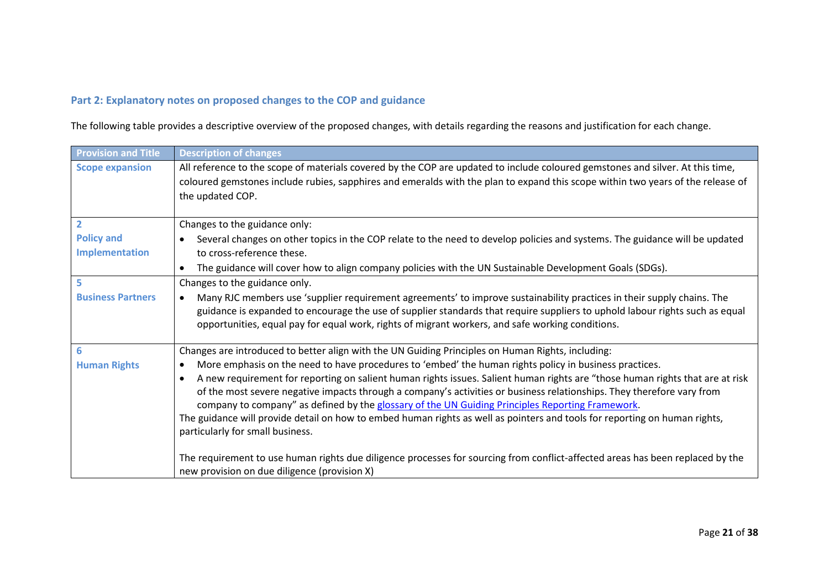### **Part 2: Explanatory notes on proposed changes to the COP and guidance**

The following table provides a descriptive overview of the proposed changes, with details regarding the reasons and justification for each change.

<span id="page-20-0"></span>

| <b>Provision and Title</b> | <b>Description of changes</b>                                                                                                                                                                                                                                                                                                                                                                                                                                                                                                              |
|----------------------------|--------------------------------------------------------------------------------------------------------------------------------------------------------------------------------------------------------------------------------------------------------------------------------------------------------------------------------------------------------------------------------------------------------------------------------------------------------------------------------------------------------------------------------------------|
| <b>Scope expansion</b>     | All reference to the scope of materials covered by the COP are updated to include coloured gemstones and silver. At this time,                                                                                                                                                                                                                                                                                                                                                                                                             |
|                            | coloured gemstones include rubies, sapphires and emeralds with the plan to expand this scope within two years of the release of                                                                                                                                                                                                                                                                                                                                                                                                            |
|                            | the updated COP.                                                                                                                                                                                                                                                                                                                                                                                                                                                                                                                           |
|                            |                                                                                                                                                                                                                                                                                                                                                                                                                                                                                                                                            |
| $\overline{2}$             | Changes to the guidance only:                                                                                                                                                                                                                                                                                                                                                                                                                                                                                                              |
| <b>Policy and</b>          | Several changes on other topics in the COP relate to the need to develop policies and systems. The guidance will be updated                                                                                                                                                                                                                                                                                                                                                                                                                |
| Implementation             | to cross-reference these.                                                                                                                                                                                                                                                                                                                                                                                                                                                                                                                  |
|                            | The guidance will cover how to align company policies with the UN Sustainable Development Goals (SDGs).                                                                                                                                                                                                                                                                                                                                                                                                                                    |
| 5                          | Changes to the guidance only.                                                                                                                                                                                                                                                                                                                                                                                                                                                                                                              |
| <b>Business Partners</b>   | Many RJC members use 'supplier requirement agreements' to improve sustainability practices in their supply chains. The<br>guidance is expanded to encourage the use of supplier standards that require suppliers to uphold labour rights such as equal<br>opportunities, equal pay for equal work, rights of migrant workers, and safe working conditions.                                                                                                                                                                                 |
| 6                          | Changes are introduced to better align with the UN Guiding Principles on Human Rights, including:                                                                                                                                                                                                                                                                                                                                                                                                                                          |
| <b>Human Rights</b>        | More emphasis on the need to have procedures to 'embed' the human rights policy in business practices.<br>$\bullet$                                                                                                                                                                                                                                                                                                                                                                                                                        |
|                            | A new requirement for reporting on salient human rights issues. Salient human rights are "those human rights that are at risk<br>$\bullet$<br>of the most severe negative impacts through a company's activities or business relationships. They therefore vary from<br>company to company" as defined by the glossary of the UN Guiding Principles Reporting Framework.<br>The guidance will provide detail on how to embed human rights as well as pointers and tools for reporting on human rights,<br>particularly for small business. |
|                            | The requirement to use human rights due diligence processes for sourcing from conflict-affected areas has been replaced by the<br>new provision on due diligence (provision X)                                                                                                                                                                                                                                                                                                                                                             |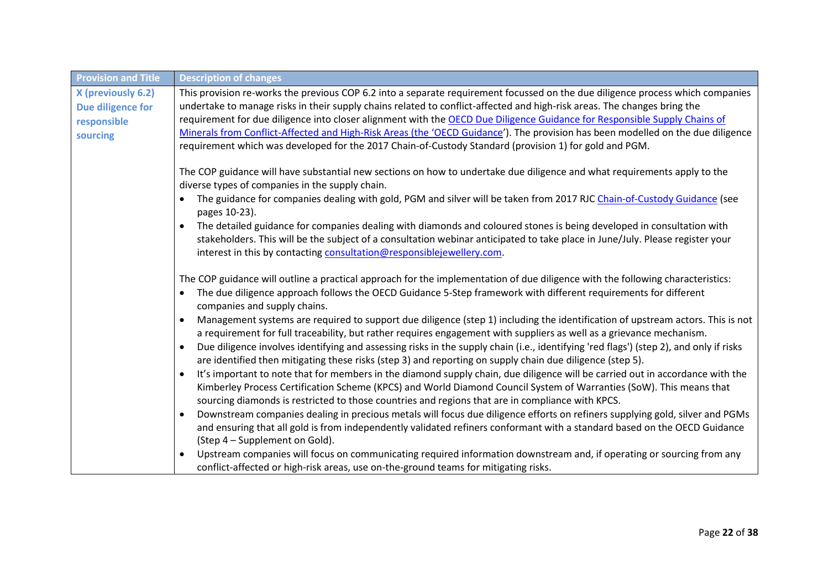| <b>Provision and Title</b>                                         | <b>Description of changes</b>                                                                                                                                                                                                                                                                                                                                                                                                                                                                                                                                                                                                                                                                                                                                                                                                                                                                                                                                                                                                                                                                                                                                  |
|--------------------------------------------------------------------|----------------------------------------------------------------------------------------------------------------------------------------------------------------------------------------------------------------------------------------------------------------------------------------------------------------------------------------------------------------------------------------------------------------------------------------------------------------------------------------------------------------------------------------------------------------------------------------------------------------------------------------------------------------------------------------------------------------------------------------------------------------------------------------------------------------------------------------------------------------------------------------------------------------------------------------------------------------------------------------------------------------------------------------------------------------------------------------------------------------------------------------------------------------|
| X (previously 6.2)<br>Due diligence for<br>responsible<br>sourcing | This provision re-works the previous COP 6.2 into a separate requirement focussed on the due diligence process which companies<br>undertake to manage risks in their supply chains related to conflict-affected and high-risk areas. The changes bring the<br>requirement for due diligence into closer alignment with the OECD Due Diligence Guidance for Responsible Supply Chains of<br>Minerals from Conflict-Affected and High-Risk Areas (the 'OECD Guidance'). The provision has been modelled on the due diligence                                                                                                                                                                                                                                                                                                                                                                                                                                                                                                                                                                                                                                     |
|                                                                    | requirement which was developed for the 2017 Chain-of-Custody Standard (provision 1) for gold and PGM.<br>The COP guidance will have substantial new sections on how to undertake due diligence and what requirements apply to the<br>diverse types of companies in the supply chain.<br>The guidance for companies dealing with gold, PGM and silver will be taken from 2017 RJC Chain-of-Custody Guidance (see<br>pages 10-23).<br>The detailed guidance for companies dealing with diamonds and coloured stones is being developed in consultation with<br>stakeholders. This will be the subject of a consultation webinar anticipated to take place in June/July. Please register your<br>interest in this by contacting consultation@responsiblejewellery.com.                                                                                                                                                                                                                                                                                                                                                                                           |
|                                                                    | The COP guidance will outline a practical approach for the implementation of due diligence with the following characteristics:<br>The due diligence approach follows the OECD Guidance 5-Step framework with different requirements for different<br>companies and supply chains.<br>Management systems are required to support due diligence (step 1) including the identification of upstream actors. This is not<br>a requirement for full traceability, but rather requires engagement with suppliers as well as a grievance mechanism.<br>Due diligence involves identifying and assessing risks in the supply chain (i.e., identifying 'red flags') (step 2), and only if risks<br>are identified then mitigating these risks (step 3) and reporting on supply chain due diligence (step 5).<br>It's important to note that for members in the diamond supply chain, due diligence will be carried out in accordance with the<br>Kimberley Process Certification Scheme (KPCS) and World Diamond Council System of Warranties (SoW). This means that<br>sourcing diamonds is restricted to those countries and regions that are in compliance with KPCS. |
|                                                                    | Downstream companies dealing in precious metals will focus due diligence efforts on refiners supplying gold, silver and PGMs<br>and ensuring that all gold is from independently validated refiners conformant with a standard based on the OECD Guidance<br>(Step 4 – Supplement on Gold).<br>Upstream companies will focus on communicating required information downstream and, if operating or sourcing from any<br>conflict-affected or high-risk areas, use on-the-ground teams for mitigating risks.                                                                                                                                                                                                                                                                                                                                                                                                                                                                                                                                                                                                                                                    |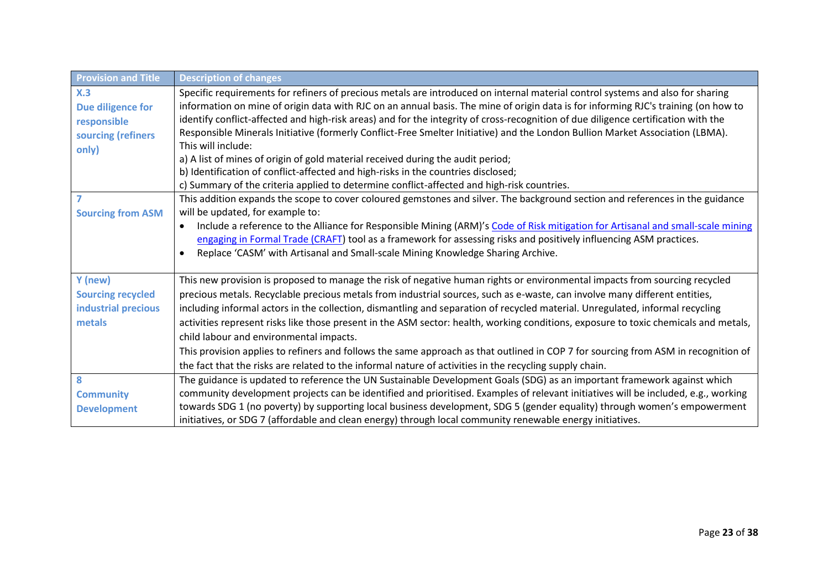| <b>Provision and Title</b>                                             | <b>Description of changes</b>                                                                                                                                                                                                                                                                                                                                                                                                                                                                                                                                                                                                                                                                                                                                                                                                           |
|------------------------------------------------------------------------|-----------------------------------------------------------------------------------------------------------------------------------------------------------------------------------------------------------------------------------------------------------------------------------------------------------------------------------------------------------------------------------------------------------------------------------------------------------------------------------------------------------------------------------------------------------------------------------------------------------------------------------------------------------------------------------------------------------------------------------------------------------------------------------------------------------------------------------------|
| X.3<br>Due diligence for<br>responsible<br>sourcing (refiners<br>only) | Specific requirements for refiners of precious metals are introduced on internal material control systems and also for sharing<br>information on mine of origin data with RJC on an annual basis. The mine of origin data is for informing RJC's training (on how to<br>identify conflict-affected and high-risk areas) and for the integrity of cross-recognition of due diligence certification with the<br>Responsible Minerals Initiative (formerly Conflict-Free Smelter Initiative) and the London Bullion Market Association (LBMA).<br>This will include:<br>a) A list of mines of origin of gold material received during the audit period;<br>b) Identification of conflict-affected and high-risks in the countries disclosed;<br>c) Summary of the criteria applied to determine conflict-affected and high-risk countries. |
| 7<br><b>Sourcing from ASM</b>                                          | This addition expands the scope to cover coloured gemstones and silver. The background section and references in the guidance<br>will be updated, for example to:<br>Include a reference to the Alliance for Responsible Mining (ARM)'s Code of Risk mitigation for Artisanal and small-scale mining<br>$\bullet$<br>engaging in Formal Trade (CRAFT) tool as a framework for assessing risks and positively influencing ASM practices.<br>Replace 'CASM' with Artisanal and Small-scale Mining Knowledge Sharing Archive.                                                                                                                                                                                                                                                                                                              |
| Y (new)<br><b>Sourcing recycled</b><br>industrial precious<br>metals   | This new provision is proposed to manage the risk of negative human rights or environmental impacts from sourcing recycled<br>precious metals. Recyclable precious metals from industrial sources, such as e-waste, can involve many different entities,<br>including informal actors in the collection, dismantling and separation of recycled material. Unregulated, informal recycling<br>activities represent risks like those present in the ASM sector: health, working conditions, exposure to toxic chemicals and metals,<br>child labour and environmental impacts.<br>This provision applies to refiners and follows the same approach as that outlined in COP 7 for sourcing from ASM in recognition of<br>the fact that the risks are related to the informal nature of activities in the recycling supply chain.           |
| 8<br><b>Community</b><br><b>Development</b>                            | The guidance is updated to reference the UN Sustainable Development Goals (SDG) as an important framework against which<br>community development projects can be identified and prioritised. Examples of relevant initiatives will be included, e.g., working<br>towards SDG 1 (no poverty) by supporting local business development, SDG 5 (gender equality) through women's empowerment<br>initiatives, or SDG 7 (affordable and clean energy) through local community renewable energy initiatives.                                                                                                                                                                                                                                                                                                                                  |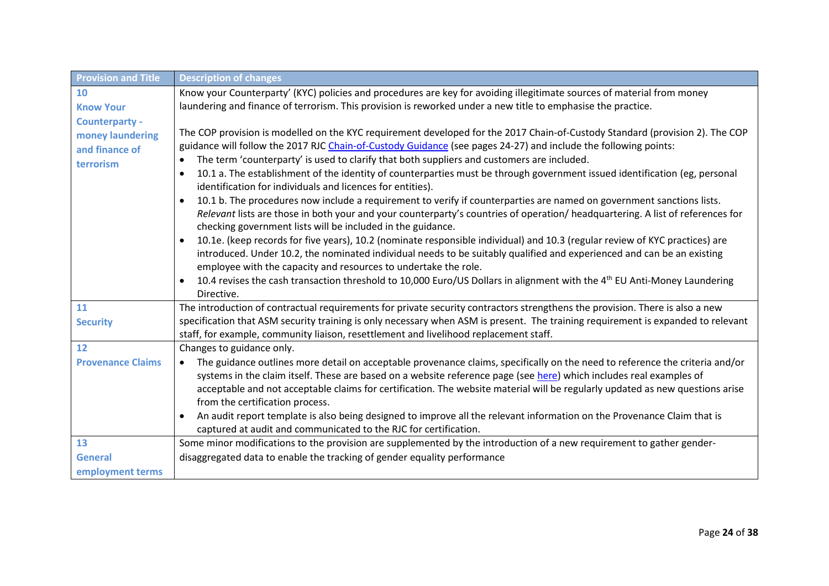| <b>Provision and Title</b>                                        | <b>Description of changes</b>                                                                                                                                                                                                                                                                                                                                                                                                                                                                                                                                                                                                                                                                                                                                                                                                                                                                                                                                                                                                                                                                                                                                                                                                                                                                                                                                                  |
|-------------------------------------------------------------------|--------------------------------------------------------------------------------------------------------------------------------------------------------------------------------------------------------------------------------------------------------------------------------------------------------------------------------------------------------------------------------------------------------------------------------------------------------------------------------------------------------------------------------------------------------------------------------------------------------------------------------------------------------------------------------------------------------------------------------------------------------------------------------------------------------------------------------------------------------------------------------------------------------------------------------------------------------------------------------------------------------------------------------------------------------------------------------------------------------------------------------------------------------------------------------------------------------------------------------------------------------------------------------------------------------------------------------------------------------------------------------|
| 10                                                                | Know your Counterparty' (KYC) policies and procedures are key for avoiding illegitimate sources of material from money                                                                                                                                                                                                                                                                                                                                                                                                                                                                                                                                                                                                                                                                                                                                                                                                                                                                                                                                                                                                                                                                                                                                                                                                                                                         |
| <b>Know Your</b>                                                  | laundering and finance of terrorism. This provision is reworked under a new title to emphasise the practice.                                                                                                                                                                                                                                                                                                                                                                                                                                                                                                                                                                                                                                                                                                                                                                                                                                                                                                                                                                                                                                                                                                                                                                                                                                                                   |
| Counterparty -<br>money laundering<br>and finance of<br>terrorism | The COP provision is modelled on the KYC requirement developed for the 2017 Chain-of-Custody Standard (provision 2). The COP<br>guidance will follow the 2017 RJC Chain-of-Custody Guidance (see pages 24-27) and include the following points:<br>The term 'counterparty' is used to clarify that both suppliers and customers are included.<br>10.1 a. The establishment of the identity of counterparties must be through government issued identification (eg, personal<br>$\bullet$<br>identification for individuals and licences for entities).<br>10.1 b. The procedures now include a requirement to verify if counterparties are named on government sanctions lists.<br>$\bullet$<br>Relevant lists are those in both your and your counterparty's countries of operation/ headquartering. A list of references for<br>checking government lists will be included in the guidance.<br>10.1e. (keep records for five years), 10.2 (nominate responsible individual) and 10.3 (regular review of KYC practices) are<br>introduced. Under 10.2, the nominated individual needs to be suitably qualified and experienced and can be an existing<br>employee with the capacity and resources to undertake the role.<br>10.4 revises the cash transaction threshold to 10,000 Euro/US Dollars in alignment with the 4 <sup>th</sup> EU Anti-Money Laundering<br>$\bullet$ |
|                                                                   | Directive.                                                                                                                                                                                                                                                                                                                                                                                                                                                                                                                                                                                                                                                                                                                                                                                                                                                                                                                                                                                                                                                                                                                                                                                                                                                                                                                                                                     |
| 11<br><b>Security</b>                                             | The introduction of contractual requirements for private security contractors strengthens the provision. There is also a new<br>specification that ASM security training is only necessary when ASM is present. The training requirement is expanded to relevant<br>staff, for example, community liaison, resettlement and livelihood replacement staff.                                                                                                                                                                                                                                                                                                                                                                                                                                                                                                                                                                                                                                                                                                                                                                                                                                                                                                                                                                                                                      |
| 12                                                                | Changes to guidance only.                                                                                                                                                                                                                                                                                                                                                                                                                                                                                                                                                                                                                                                                                                                                                                                                                                                                                                                                                                                                                                                                                                                                                                                                                                                                                                                                                      |
| <b>Provenance Claims</b>                                          | The guidance outlines more detail on acceptable provenance claims, specifically on the need to reference the criteria and/or<br>$\bullet$<br>systems in the claim itself. These are based on a website reference page (see here) which includes real examples of<br>acceptable and not acceptable claims for certification. The website material will be regularly updated as new questions arise<br>from the certification process.<br>An audit report template is also being designed to improve all the relevant information on the Provenance Claim that is<br>$\bullet$<br>captured at audit and communicated to the RJC for certification.                                                                                                                                                                                                                                                                                                                                                                                                                                                                                                                                                                                                                                                                                                                               |
| 13                                                                | Some minor modifications to the provision are supplemented by the introduction of a new requirement to gather gender-                                                                                                                                                                                                                                                                                                                                                                                                                                                                                                                                                                                                                                                                                                                                                                                                                                                                                                                                                                                                                                                                                                                                                                                                                                                          |
| <b>General</b>                                                    | disaggregated data to enable the tracking of gender equality performance                                                                                                                                                                                                                                                                                                                                                                                                                                                                                                                                                                                                                                                                                                                                                                                                                                                                                                                                                                                                                                                                                                                                                                                                                                                                                                       |
| employment terms                                                  |                                                                                                                                                                                                                                                                                                                                                                                                                                                                                                                                                                                                                                                                                                                                                                                                                                                                                                                                                                                                                                                                                                                                                                                                                                                                                                                                                                                |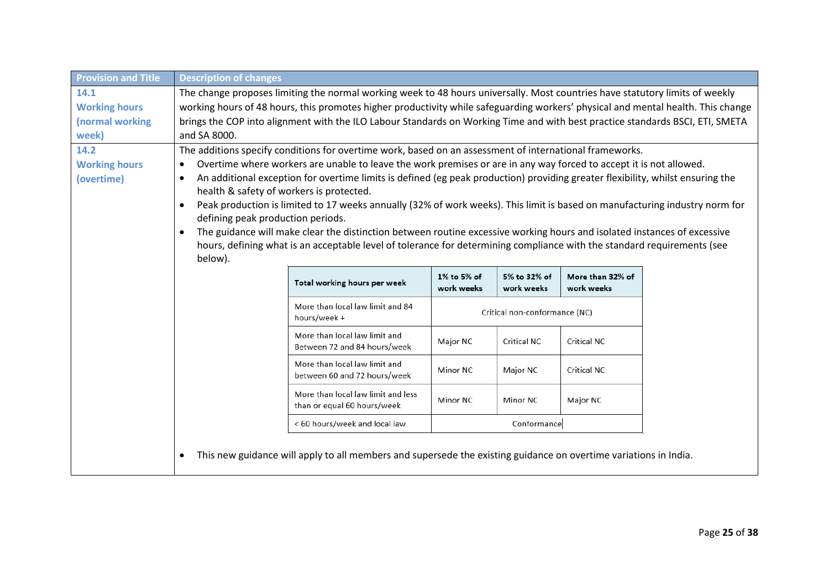| <b>Provision and Title</b> | <b>Description of changes</b>                                                                                                    |                                                                                                                                |                           |                               |                                |  |
|----------------------------|----------------------------------------------------------------------------------------------------------------------------------|--------------------------------------------------------------------------------------------------------------------------------|---------------------------|-------------------------------|--------------------------------|--|
| 14.1                       | The change proposes limiting the normal working week to 48 hours universally. Most countries have statutory limits of weekly     |                                                                                                                                |                           |                               |                                |  |
| <b>Working hours</b>       | working hours of 48 hours, this promotes higher productivity while safeguarding workers' physical and mental health. This change |                                                                                                                                |                           |                               |                                |  |
| (normal working            |                                                                                                                                  | brings the COP into alignment with the ILO Labour Standards on Working Time and with best practice standards BSCI, ETI, SMETA  |                           |                               |                                |  |
| week)                      | and SA 8000.                                                                                                                     |                                                                                                                                |                           |                               |                                |  |
| 14.2                       |                                                                                                                                  | The additions specify conditions for overtime work, based on an assessment of international frameworks.                        |                           |                               |                                |  |
| <b>Working hours</b>       | $\bullet$                                                                                                                        | Overtime where workers are unable to leave the work premises or are in any way forced to accept it is not allowed.             |                           |                               |                                |  |
| (overtime)                 | ٠                                                                                                                                | An additional exception for overtime limits is defined (eg peak production) providing greater flexibility, whilst ensuring the |                           |                               |                                |  |
|                            | health & safety of workers is protected.                                                                                         |                                                                                                                                |                           |                               |                                |  |
|                            | $\bullet$                                                                                                                        | Peak production is limited to 17 weeks annually (32% of work weeks). This limit is based on manufacturing industry norm for    |                           |                               |                                |  |
|                            | defining peak production periods.                                                                                                |                                                                                                                                |                           |                               |                                |  |
|                            | $\bullet$                                                                                                                        | The guidance will make clear the distinction between routine excessive working hours and isolated instances of excessive       |                           |                               |                                |  |
|                            | hours, defining what is an acceptable level of tolerance for determining compliance with the standard requirements (see          |                                                                                                                                |                           |                               |                                |  |
|                            | below).                                                                                                                          |                                                                                                                                |                           |                               |                                |  |
|                            |                                                                                                                                  | Total working hours per week                                                                                                   | 1% to 5% of<br>work weeks | 5% to 32% of<br>work weeks    | More than 32% of<br>work weeks |  |
|                            |                                                                                                                                  | More than local law limit and 84<br>hours/week +                                                                               |                           | Critical non-conformance (NC) |                                |  |
|                            |                                                                                                                                  | More than local law limit and<br>Between 72 and 84 hours/week                                                                  | Major NC                  | <b>Critical NC</b>            | <b>Critical NC</b>             |  |
|                            |                                                                                                                                  | More than local law limit and<br>between 60 and 72 hours/week                                                                  | Minor NC                  | Major NC                      | <b>Critical NC</b>             |  |
|                            |                                                                                                                                  | More than local law limit and less<br>than or equal 60 hours/week                                                              | Minor NC                  | Minor NC                      | Major NC                       |  |
|                            |                                                                                                                                  | < 60 hours/week and local law                                                                                                  |                           | Conformance                   |                                |  |
|                            |                                                                                                                                  | This new guidance will apply to all members and supersede the existing guidance on overtime variations in India.               |                           |                               |                                |  |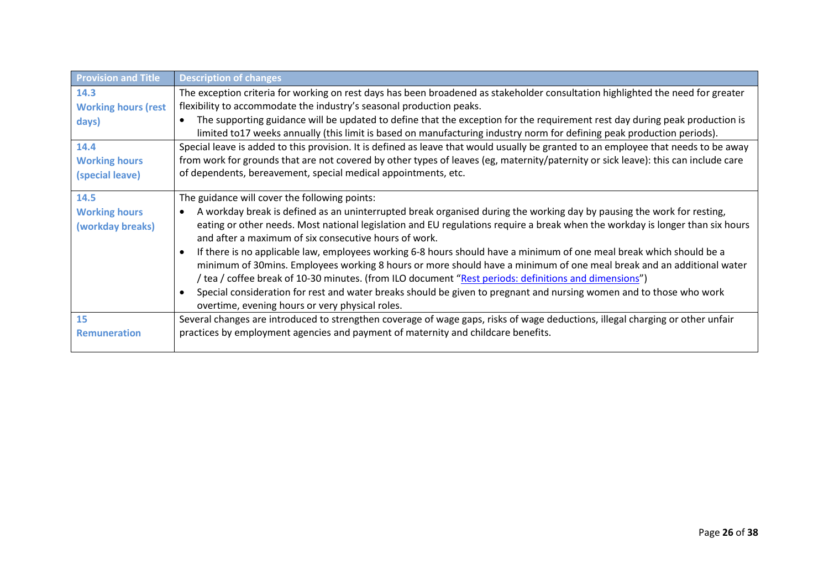| <b>Provision and Title</b>               | <b>Description of changes</b>                                                                                                                                                                                                                                                                                                                                                                                                                                                |
|------------------------------------------|------------------------------------------------------------------------------------------------------------------------------------------------------------------------------------------------------------------------------------------------------------------------------------------------------------------------------------------------------------------------------------------------------------------------------------------------------------------------------|
| 14.3                                     | The exception criteria for working on rest days has been broadened as stakeholder consultation highlighted the need for greater                                                                                                                                                                                                                                                                                                                                              |
| <b>Working hours (rest</b>               | flexibility to accommodate the industry's seasonal production peaks.                                                                                                                                                                                                                                                                                                                                                                                                         |
| days)                                    | The supporting guidance will be updated to define that the exception for the requirement rest day during peak production is<br>limited to17 weeks annually (this limit is based on manufacturing industry norm for defining peak production periods).                                                                                                                                                                                                                        |
| 14.4                                     | Special leave is added to this provision. It is defined as leave that would usually be granted to an employee that needs to be away                                                                                                                                                                                                                                                                                                                                          |
| <b>Working hours</b>                     | from work for grounds that are not covered by other types of leaves (eg, maternity/paternity or sick leave): this can include care                                                                                                                                                                                                                                                                                                                                           |
| (special leave)                          | of dependents, bereavement, special medical appointments, etc.                                                                                                                                                                                                                                                                                                                                                                                                               |
| 14.5                                     | The guidance will cover the following points:                                                                                                                                                                                                                                                                                                                                                                                                                                |
| <b>Working hours</b><br>(workday breaks) | A workday break is defined as an uninterrupted break organised during the working day by pausing the work for resting,<br>$\bullet$<br>eating or other needs. Most national legislation and EU regulations require a break when the workday is longer than six hours<br>and after a maximum of six consecutive hours of work.                                                                                                                                                |
|                                          | If there is no applicable law, employees working 6-8 hours should have a minimum of one meal break which should be a<br>minimum of 30mins. Employees working 8 hours or more should have a minimum of one meal break and an additional water<br>/ tea / coffee break of 10-30 minutes. (from ILO document "Rest periods: definitions and dimensions")<br>Special consideration for rest and water breaks should be given to pregnant and nursing women and to those who work |
|                                          | overtime, evening hours or very physical roles.                                                                                                                                                                                                                                                                                                                                                                                                                              |
| 15                                       | Several changes are introduced to strengthen coverage of wage gaps, risks of wage deductions, illegal charging or other unfair                                                                                                                                                                                                                                                                                                                                               |
| <b>Remuneration</b>                      | practices by employment agencies and payment of maternity and childcare benefits.                                                                                                                                                                                                                                                                                                                                                                                            |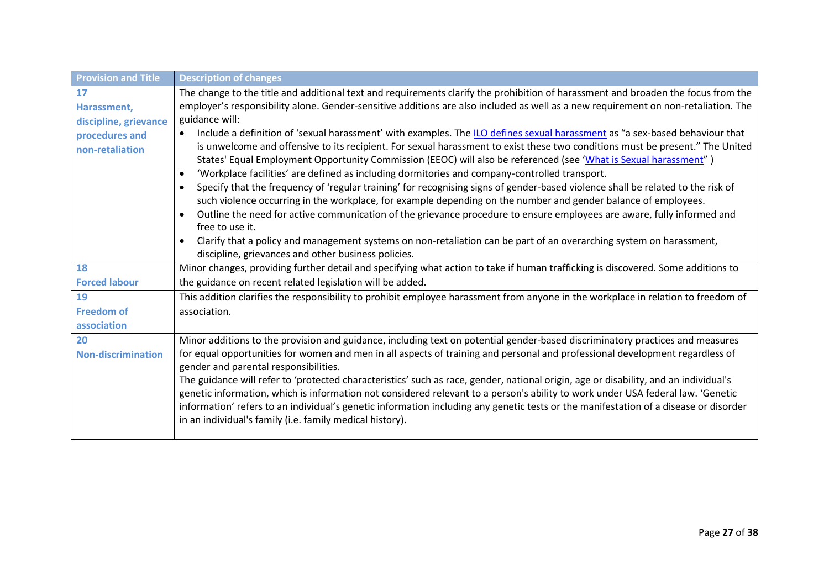| <b>Provision and Title</b> | <b>Description of changes</b>                                                                                                                |
|----------------------------|----------------------------------------------------------------------------------------------------------------------------------------------|
| 17                         | The change to the title and additional text and requirements clarify the prohibition of harassment and broaden the focus from the            |
| Harassment,                | employer's responsibility alone. Gender-sensitive additions are also included as well as a new requirement on non-retaliation. The           |
| discipline, grievance      | guidance will:                                                                                                                               |
| procedures and             | Include a definition of 'sexual harassment' with examples. The ILO defines sexual harassment as "a sex-based behaviour that<br>$\bullet$     |
| non-retaliation            | is unwelcome and offensive to its recipient. For sexual harassment to exist these two conditions must be present." The United                |
|                            | States' Equal Employment Opportunity Commission (EEOC) will also be referenced (see 'What is Sexual harassment")                             |
|                            | 'Workplace facilities' are defined as including dormitories and company-controlled transport.<br>$\bullet$                                   |
|                            | Specify that the frequency of 'regular training' for recognising signs of gender-based violence shall be related to the risk of<br>$\bullet$ |
|                            | such violence occurring in the workplace, for example depending on the number and gender balance of employees.                               |
|                            | Outline the need for active communication of the grievance procedure to ensure employees are aware, fully informed and                       |
|                            | free to use it.                                                                                                                              |
|                            | Clarify that a policy and management systems on non-retaliation can be part of an overarching system on harassment,<br>$\bullet$             |
|                            | discipline, grievances and other business policies.                                                                                          |
| 18                         | Minor changes, providing further detail and specifying what action to take if human trafficking is discovered. Some additions to             |
| <b>Forced labour</b>       | the guidance on recent related legislation will be added.                                                                                    |
| 19                         | This addition clarifies the responsibility to prohibit employee harassment from anyone in the workplace in relation to freedom of            |
| <b>Freedom of</b>          | association.                                                                                                                                 |
| association                |                                                                                                                                              |
| 20                         | Minor additions to the provision and guidance, including text on potential gender-based discriminatory practices and measures                |
| <b>Non-discrimination</b>  | for equal opportunities for women and men in all aspects of training and personal and professional development regardless of                 |
|                            | gender and parental responsibilities.                                                                                                        |
|                            | The guidance will refer to 'protected characteristics' such as race, gender, national origin, age or disability, and an individual's         |
|                            | genetic information, which is information not considered relevant to a person's ability to work under USA federal law. 'Genetic              |
|                            | information' refers to an individual's genetic information including any genetic tests or the manifestation of a disease or disorder         |
|                            | in an individual's family (i.e. family medical history).                                                                                     |
|                            |                                                                                                                                              |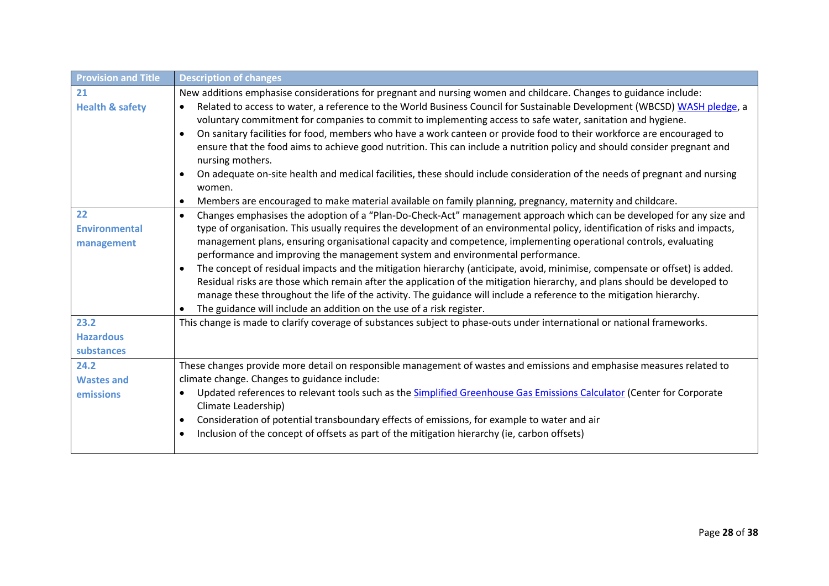| <b>Provision and Title</b> | <b>Description of changes</b>                                                                                                                                                                                                                     |
|----------------------------|---------------------------------------------------------------------------------------------------------------------------------------------------------------------------------------------------------------------------------------------------|
| 21                         | New additions emphasise considerations for pregnant and nursing women and childcare. Changes to guidance include:                                                                                                                                 |
| <b>Health &amp; safety</b> | Related to access to water, a reference to the World Business Council for Sustainable Development (WBCSD) WASH pledge, a<br>$\bullet$                                                                                                             |
|                            | voluntary commitment for companies to commit to implementing access to safe water, sanitation and hygiene.                                                                                                                                        |
|                            | On sanitary facilities for food, members who have a work canteen or provide food to their workforce are encouraged to<br>$\bullet$                                                                                                                |
|                            | ensure that the food aims to achieve good nutrition. This can include a nutrition policy and should consider pregnant and                                                                                                                         |
|                            | nursing mothers.                                                                                                                                                                                                                                  |
|                            | On adequate on-site health and medical facilities, these should include consideration of the needs of pregnant and nursing                                                                                                                        |
|                            | women.                                                                                                                                                                                                                                            |
|                            | Members are encouraged to make material available on family planning, pregnancy, maternity and childcare.<br>$\bullet$                                                                                                                            |
| 22                         | Changes emphasises the adoption of a "Plan-Do-Check-Act" management approach which can be developed for any size and<br>$\bullet$                                                                                                                 |
| <b>Environmental</b>       | type of organisation. This usually requires the development of an environmental policy, identification of risks and impacts,                                                                                                                      |
| management                 | management plans, ensuring organisational capacity and competence, implementing operational controls, evaluating                                                                                                                                  |
|                            | performance and improving the management system and environmental performance.                                                                                                                                                                    |
|                            | The concept of residual impacts and the mitigation hierarchy (anticipate, avoid, minimise, compensate or offset) is added.                                                                                                                        |
|                            | Residual risks are those which remain after the application of the mitigation hierarchy, and plans should be developed to<br>manage these throughout the life of the activity. The guidance will include a reference to the mitigation hierarchy. |
|                            | The guidance will include an addition on the use of a risk register.                                                                                                                                                                              |
| 23.2                       | This change is made to clarify coverage of substances subject to phase-outs under international or national frameworks.                                                                                                                           |
| <b>Hazardous</b>           |                                                                                                                                                                                                                                                   |
| substances                 |                                                                                                                                                                                                                                                   |
| 24.2                       | These changes provide more detail on responsible management of wastes and emissions and emphasise measures related to                                                                                                                             |
| <b>Wastes and</b>          | climate change. Changes to guidance include:                                                                                                                                                                                                      |
|                            | Updated references to relevant tools such as the Simplified Greenhouse Gas Emissions Calculator (Center for Corporate<br>$\bullet$                                                                                                                |
| emissions                  | Climate Leadership)                                                                                                                                                                                                                               |
|                            | Consideration of potential transboundary effects of emissions, for example to water and air<br>$\bullet$                                                                                                                                          |
|                            | Inclusion of the concept of offsets as part of the mitigation hierarchy (ie, carbon offsets)                                                                                                                                                      |
|                            |                                                                                                                                                                                                                                                   |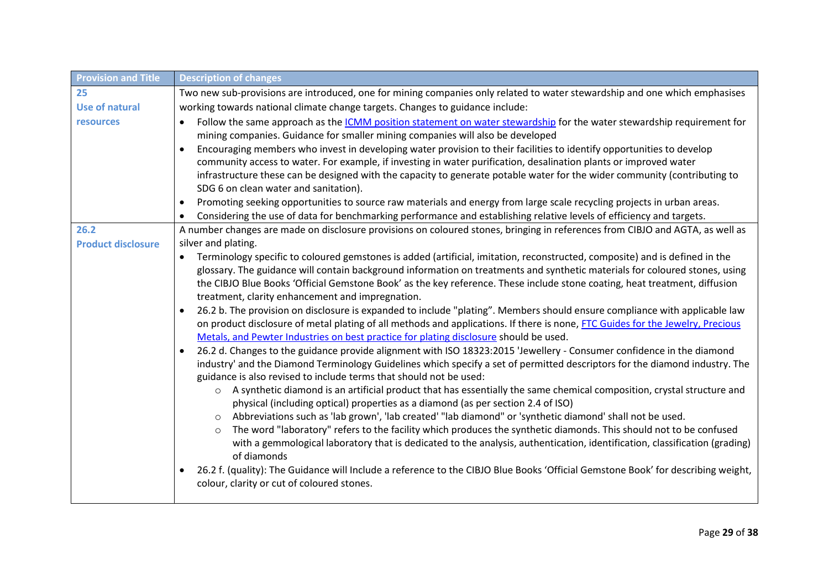| <b>Provision and Title</b> | <b>Description of changes</b>                                                                                                                                                                                           |  |  |
|----------------------------|-------------------------------------------------------------------------------------------------------------------------------------------------------------------------------------------------------------------------|--|--|
| 25                         | Two new sub-provisions are introduced, one for mining companies only related to water stewardship and one which emphasises                                                                                              |  |  |
| <b>Use of natural</b>      | working towards national climate change targets. Changes to guidance include:                                                                                                                                           |  |  |
| <b>resources</b>           | Follow the same approach as the <i>ICMM</i> position statement on water stewardship for the water stewardship requirement for<br>$\bullet$                                                                              |  |  |
|                            | mining companies. Guidance for smaller mining companies will also be developed                                                                                                                                          |  |  |
|                            | Encouraging members who invest in developing water provision to their facilities to identify opportunities to develop                                                                                                   |  |  |
|                            | community access to water. For example, if investing in water purification, desalination plants or improved water                                                                                                       |  |  |
|                            | infrastructure these can be designed with the capacity to generate potable water for the wider community (contributing to                                                                                               |  |  |
|                            | SDG 6 on clean water and sanitation).                                                                                                                                                                                   |  |  |
|                            | Promoting seeking opportunities to source raw materials and energy from large scale recycling projects in urban areas.<br>$\bullet$                                                                                     |  |  |
|                            | Considering the use of data for benchmarking performance and establishing relative levels of efficiency and targets.                                                                                                    |  |  |
| 26.2                       | A number changes are made on disclosure provisions on coloured stones, bringing in references from CIBJO and AGTA, as well as                                                                                           |  |  |
| <b>Product disclosure</b>  | silver and plating.                                                                                                                                                                                                     |  |  |
|                            | Terminology specific to coloured gemstones is added (artificial, imitation, reconstructed, composite) and is defined in the<br>$\bullet$                                                                                |  |  |
|                            | glossary. The guidance will contain background information on treatments and synthetic materials for coloured stones, using                                                                                             |  |  |
|                            | the CIBJO Blue Books 'Official Gemstone Book' as the key reference. These include stone coating, heat treatment, diffusion                                                                                              |  |  |
|                            | treatment, clarity enhancement and impregnation.                                                                                                                                                                        |  |  |
|                            | 26.2 b. The provision on disclosure is expanded to include "plating". Members should ensure compliance with applicable law<br>$\bullet$                                                                                 |  |  |
|                            | on product disclosure of metal plating of all methods and applications. If there is none, FTC Guides for the Jewelry, Precious<br>Metals, and Pewter Industries on best practice for plating disclosure should be used. |  |  |
|                            | 26.2 d. Changes to the guidance provide alignment with ISO 18323:2015 'Jewellery - Consumer confidence in the diamond                                                                                                   |  |  |
|                            | industry' and the Diamond Terminology Guidelines which specify a set of permitted descriptors for the diamond industry. The                                                                                             |  |  |
|                            | guidance is also revised to include terms that should not be used:                                                                                                                                                      |  |  |
|                            | A synthetic diamond is an artificial product that has essentially the same chemical composition, crystal structure and<br>$\circ$                                                                                       |  |  |
|                            | physical (including optical) properties as a diamond (as per section 2.4 of ISO)                                                                                                                                        |  |  |
|                            | Abbreviations such as 'lab grown', 'lab created' "lab diamond" or 'synthetic diamond' shall not be used.<br>$\circ$                                                                                                     |  |  |
|                            | The word "laboratory" refers to the facility which produces the synthetic diamonds. This should not to be confused                                                                                                      |  |  |
|                            | with a gemmological laboratory that is dedicated to the analysis, authentication, identification, classification (grading)                                                                                              |  |  |
|                            | of diamonds                                                                                                                                                                                                             |  |  |
|                            | 26.2 f. (quality): The Guidance will Include a reference to the CIBJO Blue Books 'Official Gemstone Book' for describing weight,                                                                                        |  |  |
|                            | colour, clarity or cut of coloured stones.                                                                                                                                                                              |  |  |
|                            |                                                                                                                                                                                                                         |  |  |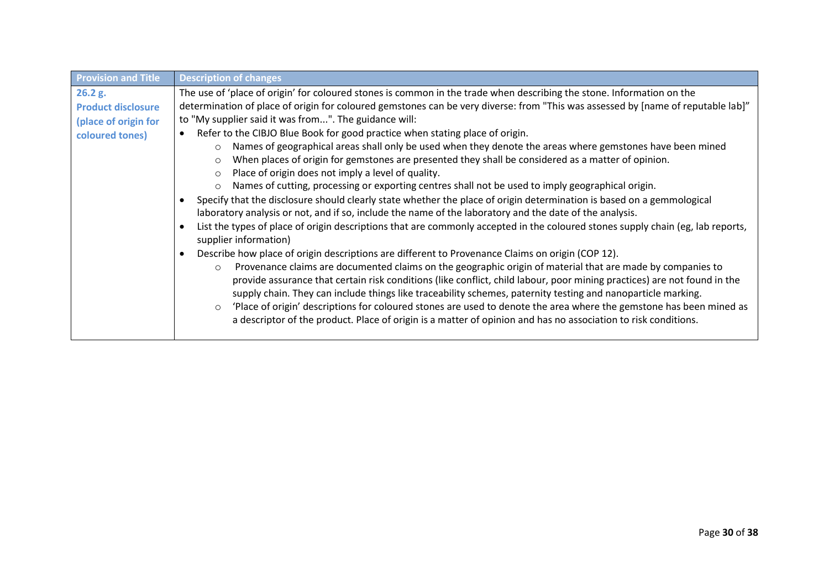| <b>Provision and Title</b> | <b>Description of changes</b>                                                                                                                                                                                                                                                                                                                                                                                                                                                                                                                                                                              |
|----------------------------|------------------------------------------------------------------------------------------------------------------------------------------------------------------------------------------------------------------------------------------------------------------------------------------------------------------------------------------------------------------------------------------------------------------------------------------------------------------------------------------------------------------------------------------------------------------------------------------------------------|
| 26.2 g.                    | The use of 'place of origin' for coloured stones is common in the trade when describing the stone. Information on the                                                                                                                                                                                                                                                                                                                                                                                                                                                                                      |
| <b>Product disclosure</b>  | determination of place of origin for coloured gemstones can be very diverse: from "This was assessed by [name of reputable lab]"                                                                                                                                                                                                                                                                                                                                                                                                                                                                           |
| (place of origin for       | to "My supplier said it was from". The guidance will:                                                                                                                                                                                                                                                                                                                                                                                                                                                                                                                                                      |
| coloured tones)            | Refer to the CIBJO Blue Book for good practice when stating place of origin.                                                                                                                                                                                                                                                                                                                                                                                                                                                                                                                               |
|                            | Names of geographical areas shall only be used when they denote the areas where gemstones have been mined<br>$\circ$                                                                                                                                                                                                                                                                                                                                                                                                                                                                                       |
|                            | When places of origin for gemstones are presented they shall be considered as a matter of opinion.                                                                                                                                                                                                                                                                                                                                                                                                                                                                                                         |
|                            | Place of origin does not imply a level of quality.<br>O                                                                                                                                                                                                                                                                                                                                                                                                                                                                                                                                                    |
|                            | Names of cutting, processing or exporting centres shall not be used to imply geographical origin.                                                                                                                                                                                                                                                                                                                                                                                                                                                                                                          |
|                            | Specify that the disclosure should clearly state whether the place of origin determination is based on a gemmological                                                                                                                                                                                                                                                                                                                                                                                                                                                                                      |
|                            | laboratory analysis or not, and if so, include the name of the laboratory and the date of the analysis.                                                                                                                                                                                                                                                                                                                                                                                                                                                                                                    |
|                            | List the types of place of origin descriptions that are commonly accepted in the coloured stones supply chain (eg, lab reports,<br>supplier information)                                                                                                                                                                                                                                                                                                                                                                                                                                                   |
|                            | Describe how place of origin descriptions are different to Provenance Claims on origin (COP 12).                                                                                                                                                                                                                                                                                                                                                                                                                                                                                                           |
|                            | Provenance claims are documented claims on the geographic origin of material that are made by companies to<br>$\circ$<br>provide assurance that certain risk conditions (like conflict, child labour, poor mining practices) are not found in the<br>supply chain. They can include things like traceability schemes, paternity testing and nanoparticle marking.<br>'Place of origin' descriptions for coloured stones are used to denote the area where the gemstone has been mined as<br>a descriptor of the product. Place of origin is a matter of opinion and has no association to risk conditions. |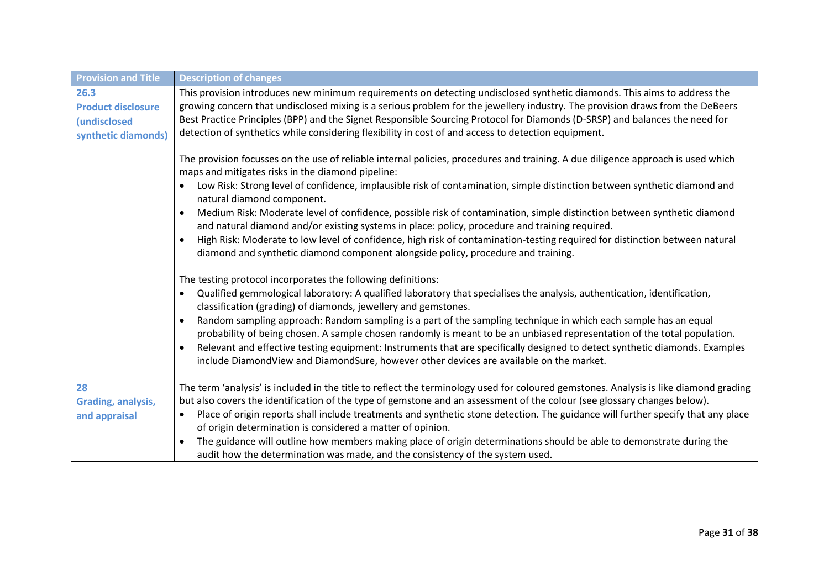| <b>Provision and Title</b>                                                      | <b>Description of changes</b>                                                                                                                                                                                                                                                                                                                                                                                                                                                                                                                                                                                                                                                                                                                                 |  |  |
|---------------------------------------------------------------------------------|---------------------------------------------------------------------------------------------------------------------------------------------------------------------------------------------------------------------------------------------------------------------------------------------------------------------------------------------------------------------------------------------------------------------------------------------------------------------------------------------------------------------------------------------------------------------------------------------------------------------------------------------------------------------------------------------------------------------------------------------------------------|--|--|
| 26.3<br><b>Product disclosure</b><br><i>(undisclosed</i><br>synthetic diamonds) | This provision introduces new minimum requirements on detecting undisclosed synthetic diamonds. This aims to address the<br>growing concern that undisclosed mixing is a serious problem for the jewellery industry. The provision draws from the DeBeers<br>Best Practice Principles (BPP) and the Signet Responsible Sourcing Protocol for Diamonds (D-SRSP) and balances the need for<br>detection of synthetics while considering flexibility in cost of and access to detection equipment.                                                                                                                                                                                                                                                               |  |  |
|                                                                                 | The provision focusses on the use of reliable internal policies, procedures and training. A due diligence approach is used which<br>maps and mitigates risks in the diamond pipeline:<br>Low Risk: Strong level of confidence, implausible risk of contamination, simple distinction between synthetic diamond and<br>natural diamond component.                                                                                                                                                                                                                                                                                                                                                                                                              |  |  |
|                                                                                 | Medium Risk: Moderate level of confidence, possible risk of contamination, simple distinction between synthetic diamond<br>and natural diamond and/or existing systems in place: policy, procedure and training required.<br>High Risk: Moderate to low level of confidence, high risk of contamination-testing required for distinction between natural<br>diamond and synthetic diamond component alongside policy, procedure and training.                                                                                                                                                                                                                                                                                                                 |  |  |
|                                                                                 | The testing protocol incorporates the following definitions:<br>Qualified gemmological laboratory: A qualified laboratory that specialises the analysis, authentication, identification,<br>$\bullet$<br>classification (grading) of diamonds, jewellery and gemstones.<br>Random sampling approach: Random sampling is a part of the sampling technique in which each sample has an equal<br>$\bullet$<br>probability of being chosen. A sample chosen randomly is meant to be an unbiased representation of the total population.<br>Relevant and effective testing equipment: Instruments that are specifically designed to detect synthetic diamonds. Examples<br>include DiamondView and DiamondSure, however other devices are available on the market. |  |  |
| 28<br><b>Grading, analysis,</b><br>and appraisal                                | The term 'analysis' is included in the title to reflect the terminology used for coloured gemstones. Analysis is like diamond grading<br>but also covers the identification of the type of gemstone and an assessment of the colour (see glossary changes below).<br>Place of origin reports shall include treatments and synthetic stone detection. The guidance will further specify that any place<br>of origin determination is considered a matter of opinion.<br>The guidance will outline how members making place of origin determinations should be able to demonstrate during the<br>audit how the determination was made, and the consistency of the system used.                                                                                  |  |  |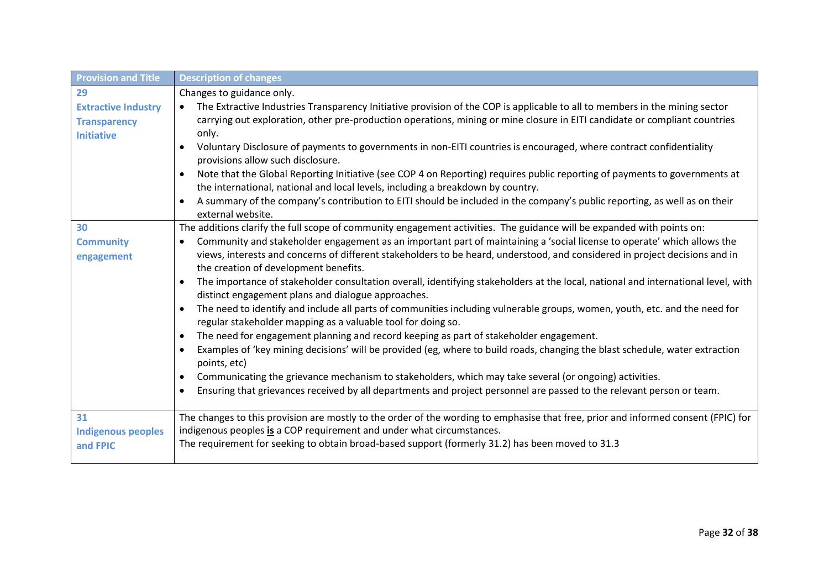| <b>Provision and Title</b>                                             | <b>Description of changes</b>                                                                                                                                                                                                                                                                                                                                                                                                                                                                                                                                                                                                                                                                                                                                                                                                                                                                                                                                                                                                                                                                                                                                                                                                                                                                                                                                            |
|------------------------------------------------------------------------|--------------------------------------------------------------------------------------------------------------------------------------------------------------------------------------------------------------------------------------------------------------------------------------------------------------------------------------------------------------------------------------------------------------------------------------------------------------------------------------------------------------------------------------------------------------------------------------------------------------------------------------------------------------------------------------------------------------------------------------------------------------------------------------------------------------------------------------------------------------------------------------------------------------------------------------------------------------------------------------------------------------------------------------------------------------------------------------------------------------------------------------------------------------------------------------------------------------------------------------------------------------------------------------------------------------------------------------------------------------------------|
| 29                                                                     | Changes to guidance only.                                                                                                                                                                                                                                                                                                                                                                                                                                                                                                                                                                                                                                                                                                                                                                                                                                                                                                                                                                                                                                                                                                                                                                                                                                                                                                                                                |
| <b>Extractive Industry</b><br><b>Transparency</b><br><b>Initiative</b> | The Extractive Industries Transparency Initiative provision of the COP is applicable to all to members in the mining sector<br>carrying out exploration, other pre-production operations, mining or mine closure in EITI candidate or compliant countries<br>only.<br>Voluntary Disclosure of payments to governments in non-EITI countries is encouraged, where contract confidentiality<br>provisions allow such disclosure.<br>Note that the Global Reporting Initiative (see COP 4 on Reporting) requires public reporting of payments to governments at<br>$\bullet$<br>the international, national and local levels, including a breakdown by country.<br>A summary of the company's contribution to EITI should be included in the company's public reporting, as well as on their                                                                                                                                                                                                                                                                                                                                                                                                                                                                                                                                                                                |
| 30<br><b>Community</b><br>engagement                                   | external website.<br>The additions clarify the full scope of community engagement activities. The guidance will be expanded with points on:<br>Community and stakeholder engagement as an important part of maintaining a 'social license to operate' which allows the<br>$\bullet$<br>views, interests and concerns of different stakeholders to be heard, understood, and considered in project decisions and in<br>the creation of development benefits.<br>The importance of stakeholder consultation overall, identifying stakeholders at the local, national and international level, with<br>distinct engagement plans and dialogue approaches.<br>The need to identify and include all parts of communities including vulnerable groups, women, youth, etc. and the need for<br>$\bullet$<br>regular stakeholder mapping as a valuable tool for doing so.<br>The need for engagement planning and record keeping as part of stakeholder engagement.<br>$\bullet$<br>Examples of 'key mining decisions' will be provided (eg, where to build roads, changing the blast schedule, water extraction<br>points, etc)<br>Communicating the grievance mechanism to stakeholders, which may take several (or ongoing) activities.<br>$\bullet$<br>Ensuring that grievances received by all departments and project personnel are passed to the relevant person or team. |
| 31<br><b>Indigenous peoples</b><br>and FPIC                            | The changes to this provision are mostly to the order of the wording to emphasise that free, prior and informed consent (FPIC) for<br>indigenous peoples is a COP requirement and under what circumstances.<br>The requirement for seeking to obtain broad-based support (formerly 31.2) has been moved to 31.3                                                                                                                                                                                                                                                                                                                                                                                                                                                                                                                                                                                                                                                                                                                                                                                                                                                                                                                                                                                                                                                          |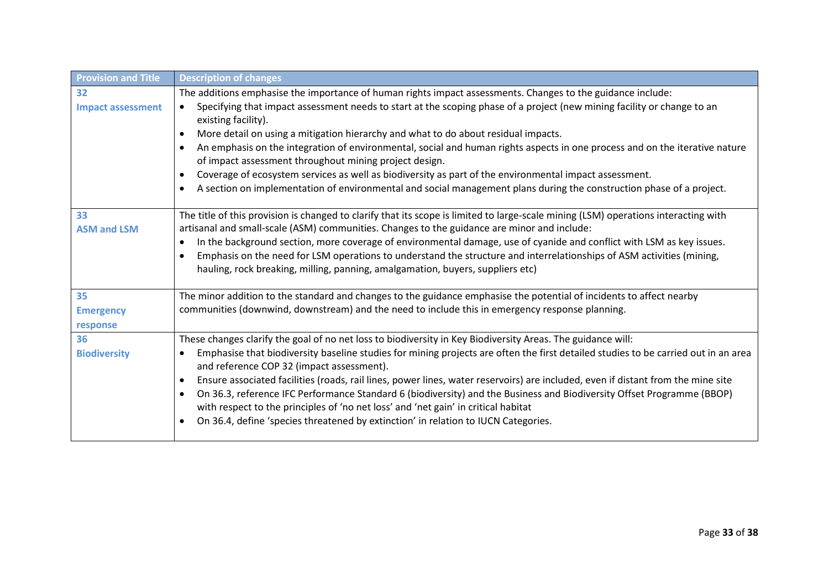| <b>Provision and Title</b> | <b>Description of changes</b>                                                                                                                                                                                |
|----------------------------|--------------------------------------------------------------------------------------------------------------------------------------------------------------------------------------------------------------|
| 32                         | The additions emphasise the importance of human rights impact assessments. Changes to the guidance include:                                                                                                  |
| <b>Impact assessment</b>   | Specifying that impact assessment needs to start at the scoping phase of a project (new mining facility or change to an<br>$\bullet$<br>existing facility).                                                  |
|                            | More detail on using a mitigation hierarchy and what to do about residual impacts.<br>$\bullet$                                                                                                              |
|                            | An emphasis on the integration of environmental, social and human rights aspects in one process and on the iterative nature<br>$\bullet$<br>of impact assessment throughout mining project design.           |
|                            | Coverage of ecosystem services as well as biodiversity as part of the environmental impact assessment.<br>$\bullet$                                                                                          |
|                            | A section on implementation of environmental and social management plans during the construction phase of a project.<br>$\bullet$                                                                            |
| 33                         | The title of this provision is changed to clarify that its scope is limited to large-scale mining (LSM) operations interacting with                                                                          |
| <b>ASM and LSM</b>         | artisanal and small-scale (ASM) communities. Changes to the guidance are minor and include:                                                                                                                  |
|                            | In the background section, more coverage of environmental damage, use of cyanide and conflict with LSM as key issues.<br>$\bullet$                                                                           |
|                            | Emphasis on the need for LSM operations to understand the structure and interrelationships of ASM activities (mining,<br>hauling, rock breaking, milling, panning, amalgamation, buyers, suppliers etc)      |
| 35                         | The minor addition to the standard and changes to the guidance emphasise the potential of incidents to affect nearby                                                                                         |
| <b>Emergency</b>           | communities (downwind, downstream) and the need to include this in emergency response planning.                                                                                                              |
| response                   |                                                                                                                                                                                                              |
| 36                         | These changes clarify the goal of no net loss to biodiversity in Key Biodiversity Areas. The guidance will:                                                                                                  |
| <b>Biodiversity</b>        | Emphasise that biodiversity baseline studies for mining projects are often the first detailed studies to be carried out in an area<br>$\bullet$<br>and reference COP 32 (impact assessment).                 |
|                            | Ensure associated facilities (roads, rail lines, power lines, water reservoirs) are included, even if distant from the mine site<br>$\bullet$                                                                |
|                            | On 36.3, reference IFC Performance Standard 6 (biodiversity) and the Business and Biodiversity Offset Programme (BBOP)<br>with respect to the principles of 'no net loss' and 'net gain' in critical habitat |
|                            | On 36.4, define 'species threatened by extinction' in relation to IUCN Categories.<br>$\bullet$                                                                                                              |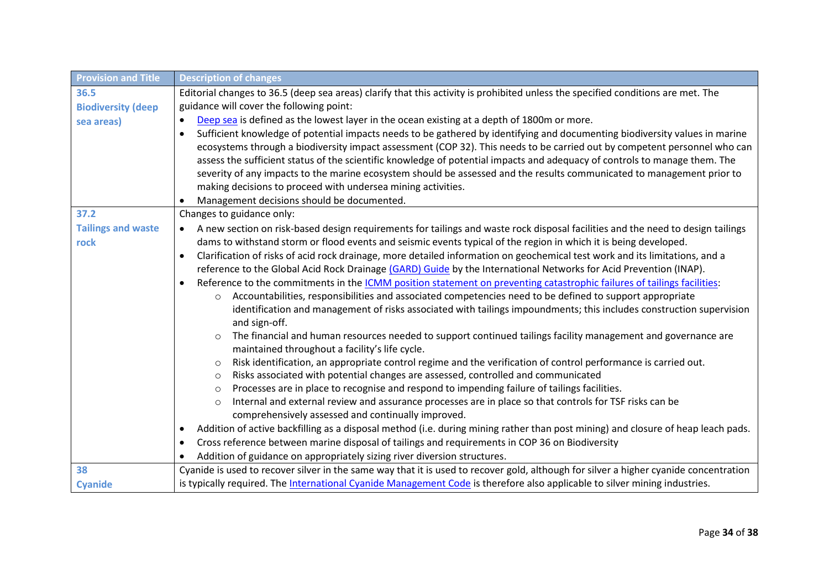| <b>Provision and Title</b> | <b>Description of changes</b>                                                                                                                                              |  |  |
|----------------------------|----------------------------------------------------------------------------------------------------------------------------------------------------------------------------|--|--|
| 36.5                       | Editorial changes to 36.5 (deep sea areas) clarify that this activity is prohibited unless the specified conditions are met. The                                           |  |  |
| <b>Biodiversity (deep</b>  | guidance will cover the following point:                                                                                                                                   |  |  |
| sea areas)                 | Deep sea is defined as the lowest layer in the ocean existing at a depth of 1800m or more.<br>$\bullet$                                                                    |  |  |
|                            | Sufficient knowledge of potential impacts needs to be gathered by identifying and documenting biodiversity values in marine<br>$\bullet$                                   |  |  |
|                            | ecosystems through a biodiversity impact assessment (COP 32). This needs to be carried out by competent personnel who can                                                  |  |  |
|                            | assess the sufficient status of the scientific knowledge of potential impacts and adequacy of controls to manage them. The                                                 |  |  |
|                            | severity of any impacts to the marine ecosystem should be assessed and the results communicated to management prior to                                                     |  |  |
|                            | making decisions to proceed with undersea mining activities.                                                                                                               |  |  |
|                            | Management decisions should be documented.                                                                                                                                 |  |  |
| 37.2                       | Changes to guidance only:                                                                                                                                                  |  |  |
| <b>Tailings and waste</b>  | A new section on risk-based design requirements for tailings and waste rock disposal facilities and the need to design tailings<br>$\bullet$                               |  |  |
| rock                       | dams to withstand storm or flood events and seismic events typical of the region in which it is being developed.                                                           |  |  |
|                            | Clarification of risks of acid rock drainage, more detailed information on geochemical test work and its limitations, and a<br>$\bullet$                                   |  |  |
|                            | reference to the Global Acid Rock Drainage (GARD) Guide by the International Networks for Acid Prevention (INAP).                                                          |  |  |
|                            | Reference to the commitments in the ICMM position statement on preventing catastrophic failures of tailings facilities:<br>$\bullet$                                       |  |  |
|                            | Accountabilities, responsibilities and associated competencies need to be defined to support appropriate<br>$\circ$                                                        |  |  |
|                            | identification and management of risks associated with tailings impoundments; this includes construction supervision                                                       |  |  |
|                            | and sign-off.                                                                                                                                                              |  |  |
|                            | The financial and human resources needed to support continued tailings facility management and governance are<br>$\circ$<br>maintained throughout a facility's life cycle. |  |  |
|                            | Risk identification, an appropriate control regime and the verification of control performance is carried out.<br>$\circ$                                                  |  |  |
|                            | Risks associated with potential changes are assessed, controlled and communicated<br>$\circ$                                                                               |  |  |
|                            | Processes are in place to recognise and respond to impending failure of tailings facilities.<br>$\circ$                                                                    |  |  |
|                            | Internal and external review and assurance processes are in place so that controls for TSF risks can be<br>$\circ$                                                         |  |  |
|                            | comprehensively assessed and continually improved.                                                                                                                         |  |  |
|                            | Addition of active backfilling as a disposal method (i.e. during mining rather than post mining) and closure of heap leach pads.<br>$\bullet$                              |  |  |
|                            | Cross reference between marine disposal of tailings and requirements in COP 36 on Biodiversity<br>$\bullet$                                                                |  |  |
|                            | Addition of guidance on appropriately sizing river diversion structures.                                                                                                   |  |  |
| 38                         | Cyanide is used to recover silver in the same way that it is used to recover gold, although for silver a higher cyanide concentration                                      |  |  |
| <b>Cyanide</b>             | is typically required. The International Cyanide Management Code is therefore also applicable to silver mining industries.                                                 |  |  |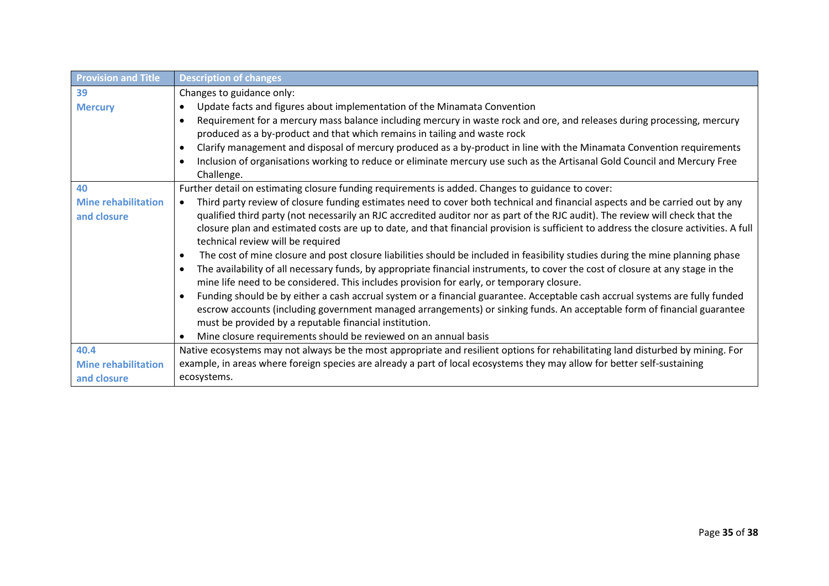| <b>Provision and Title</b> | <b>Description of changes</b>                                                                                                                                              |  |
|----------------------------|----------------------------------------------------------------------------------------------------------------------------------------------------------------------------|--|
| 39                         | Changes to guidance only:                                                                                                                                                  |  |
| <b>Mercury</b>             | Update facts and figures about implementation of the Minamata Convention<br>$\bullet$                                                                                      |  |
|                            | Requirement for a mercury mass balance including mercury in waste rock and ore, and releases during processing, mercury<br>$\bullet$                                       |  |
|                            | produced as a by-product and that which remains in tailing and waste rock                                                                                                  |  |
|                            | Clarify management and disposal of mercury produced as a by-product in line with the Minamata Convention requirements                                                      |  |
|                            | Inclusion of organisations working to reduce or eliminate mercury use such as the Artisanal Gold Council and Mercury Free                                                  |  |
|                            | Challenge.                                                                                                                                                                 |  |
| 40                         | Further detail on estimating closure funding requirements is added. Changes to guidance to cover:                                                                          |  |
| <b>Mine rehabilitation</b> | Third party review of closure funding estimates need to cover both technical and financial aspects and be carried out by any<br>$\bullet$                                  |  |
| and closure                | qualified third party (not necessarily an RJC accredited auditor nor as part of the RJC audit). The review will check that the                                             |  |
|                            | closure plan and estimated costs are up to date, and that financial provision is sufficient to address the closure activities. A full<br>technical review will be required |  |
|                            | The cost of mine closure and post closure liabilities should be included in feasibility studies during the mine planning phase<br>$\bullet$                                |  |
|                            | The availability of all necessary funds, by appropriate financial instruments, to cover the cost of closure at any stage in the                                            |  |
|                            | mine life need to be considered. This includes provision for early, or temporary closure.                                                                                  |  |
|                            | Funding should be by either a cash accrual system or a financial guarantee. Acceptable cash accrual systems are fully funded                                               |  |
|                            | escrow accounts (including government managed arrangements) or sinking funds. An acceptable form of financial guarantee                                                    |  |
|                            | must be provided by a reputable financial institution.                                                                                                                     |  |
|                            | Mine closure requirements should be reviewed on an annual basis                                                                                                            |  |
| 40.4                       | Native ecosystems may not always be the most appropriate and resilient options for rehabilitating land disturbed by mining. For                                            |  |
| <b>Mine rehabilitation</b> | example, in areas where foreign species are already a part of local ecosystems they may allow for better self-sustaining                                                   |  |
| and closure                | ecosystems.                                                                                                                                                                |  |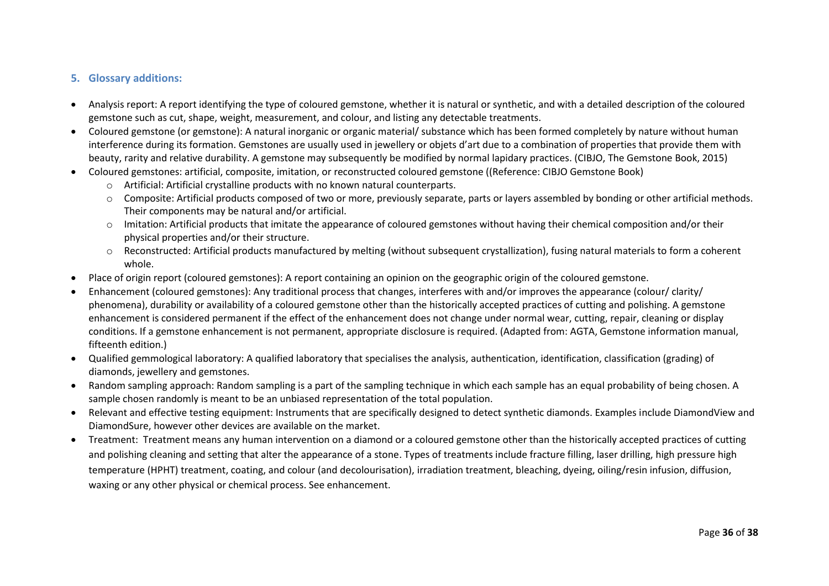#### **5. Glossary additions:**

- Analysis report: A report identifying the type of coloured gemstone, whether it is natural or synthetic, and with a detailed description of the coloured gemstone such as cut, shape, weight, measurement, and colour, and listing any detectable treatments.
- Coloured gemstone (or gemstone): A natural inorganic or organic material/ substance which has been formed completely by nature without human interference during its formation. Gemstones are usually used in jewellery or objets d'art due to a combination of properties that provide them with beauty, rarity and relative durability. A gemstone may subsequently be modified by normal lapidary practices. (CIBJO, The Gemstone Book, 2015)
- Coloured gemstones: artificial, composite, imitation, or reconstructed coloured gemstone ((Reference: CIBJO Gemstone Book)
	- $\circ$  Artificial: Artificial crystalline products with no known natural counterparts.
	- o Composite: Artificial products composed of two or more, previously separate, parts or layers assembled by bonding or other artificial methods. Their components may be natural and/or artificial.
	- o Imitation: Artificial products that imitate the appearance of coloured gemstones without having their chemical composition and/or their physical properties and/or their structure.
	- o Reconstructed: Artificial products manufactured by melting (without subsequent crystallization), fusing natural materials to form a coherent whole.
- Place of origin report (coloured gemstones): A report containing an opinion on the geographic origin of the coloured gemstone.
- <span id="page-35-0"></span>• Enhancement (coloured gemstones): Any traditional process that changes, interferes with and/or improves the appearance (colour/ clarity/ phenomena), durability or availability of a coloured gemstone other than the historically accepted practices of cutting and polishing. A gemstone enhancement is considered permanent if the effect of the enhancement does not change under normal wear, cutting, repair, cleaning or display conditions. If a gemstone enhancement is not permanent, appropriate disclosure is required. (Adapted from: AGTA, Gemstone information manual, fifteenth edition.)
- Qualified gemmological laboratory: A qualified laboratory that specialises the analysis, authentication, identification, classification (grading) of diamonds, jewellery and gemstones.
- Random sampling approach: Random sampling is a part of the sampling technique in which each sample has an equal probability of being chosen. A sample chosen randomly is meant to be an unbiased representation of the total population.
- Relevant and effective testing equipment: Instruments that are specifically designed to detect synthetic diamonds. Examples include DiamondView and DiamondSure, however other devices are available on the market.
- Treatment: Treatment means any human intervention on a diamond or a coloured gemstone other than the historically accepted practices of cutting and polishing cleaning and setting that alter the appearance of a stone. Types of treatments include fracture filling, laser drilling, high pressure high temperature (HPHT) treatment, coating, and colour (and decolourisation), irradiation treatment, bleaching, dyeing, oiling/resin infusion, diffusion, waxing or any other physical or chemical process. See enhancement.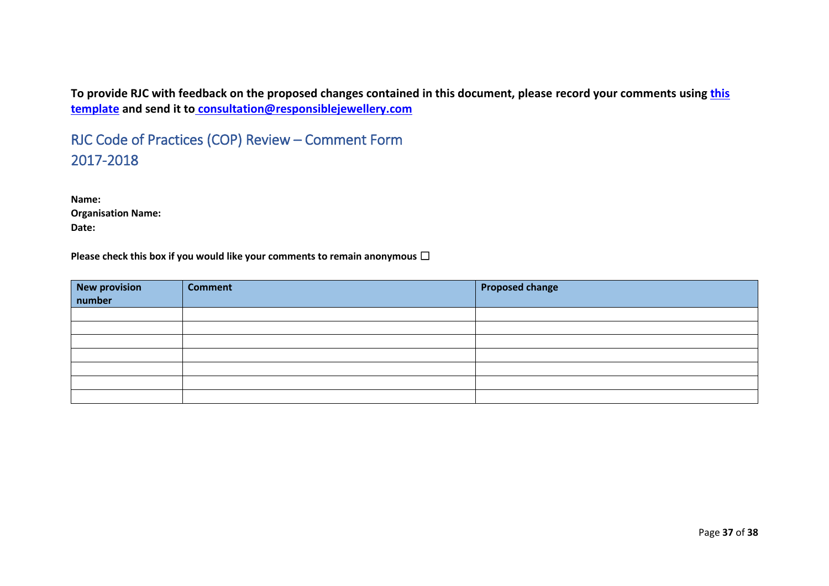**To provide RJC with feedback on the proposed changes contained in this document, please record your comments using [this](https://www.responsiblejewellery.com/files/RJC-COP-Review-Comment-Form.docx)  [template](https://www.responsiblejewellery.com/files/RJC-COP-Review-Comment-Form.docx) and send it to [consultation@responsiblejewellery.com](mailto:%20consultation@responsiblejewellery.com)**

RJC Code of Practices (COP) Review – Comment Form 2017-2018

**Name: Organisation Name: Date:** 

**Please check this box if you would like your comments to remain anonymous** ☐

| <b>New provision<br/>number</b> | <b>Comment</b> | <b>Proposed change</b> |
|---------------------------------|----------------|------------------------|
|                                 |                |                        |
|                                 |                |                        |
|                                 |                |                        |
|                                 |                |                        |
|                                 |                |                        |
|                                 |                |                        |
|                                 |                |                        |